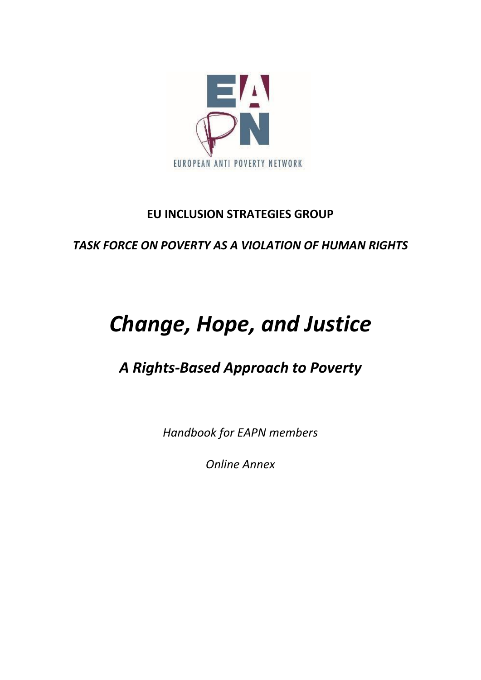

## **EU INCLUSION STRATEGIES GROUP**

*TASK FORCE ON POVERTY AS A VIOLATION OF HUMAN RIGHTS*

# *Change, Hope, and Justice*

*A Rights-Based Approach to Poverty*

*Handbook for EAPN members*

*Online Annex*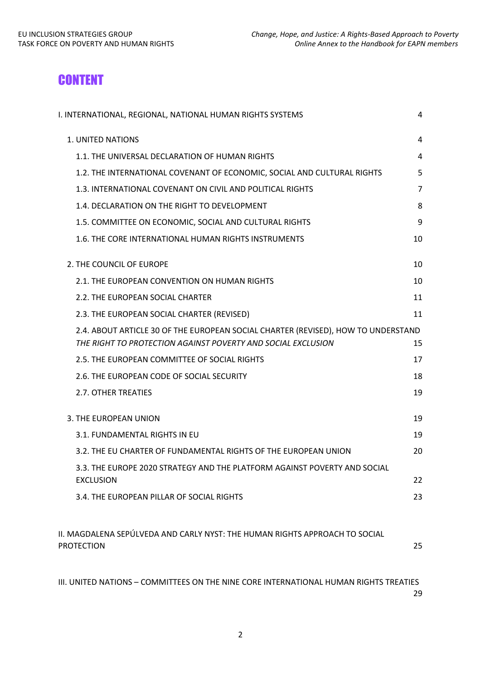## CONTENT

| I. INTERNATIONAL, REGIONAL, NATIONAL HUMAN RIGHTS SYSTEMS                                                                                         | 4              |
|---------------------------------------------------------------------------------------------------------------------------------------------------|----------------|
| <b>1. UNITED NATIONS</b>                                                                                                                          | 4              |
| 1.1. THE UNIVERSAL DECLARATION OF HUMAN RIGHTS                                                                                                    | 4              |
| 1.2. THE INTERNATIONAL COVENANT OF ECONOMIC, SOCIAL AND CULTURAL RIGHTS                                                                           | 5              |
| 1.3. INTERNATIONAL COVENANT ON CIVIL AND POLITICAL RIGHTS                                                                                         | $\overline{7}$ |
| 1.4. DECLARATION ON THE RIGHT TO DEVELOPMENT                                                                                                      | 8              |
| 1.5. COMMITTEE ON ECONOMIC, SOCIAL AND CULTURAL RIGHTS                                                                                            | 9              |
| 1.6. THE CORE INTERNATIONAL HUMAN RIGHTS INSTRUMENTS                                                                                              | 10             |
| 2. THE COUNCIL OF EUROPE                                                                                                                          | 10             |
| 2.1. THE EUROPEAN CONVENTION ON HUMAN RIGHTS                                                                                                      | 10             |
| 2.2. THE EUROPEAN SOCIAL CHARTER                                                                                                                  | 11             |
| 2.3. THE EUROPEAN SOCIAL CHARTER (REVISED)                                                                                                        | 11             |
| 2.4. ABOUT ARTICLE 30 OF THE EUROPEAN SOCIAL CHARTER (REVISED), HOW TO UNDERSTAND<br>THE RIGHT TO PROTECTION AGAINST POVERTY AND SOCIAL EXCLUSION | 15             |
| 2.5. THE EUROPEAN COMMITTEE OF SOCIAL RIGHTS                                                                                                      | 17             |
| 2.6. THE EUROPEAN CODE OF SOCIAL SECURITY                                                                                                         | 18             |
| <b>2.7. OTHER TREATIES</b>                                                                                                                        | 19             |
| 3. THE EUROPEAN UNION                                                                                                                             | 19             |
| 3.1. FUNDAMENTAL RIGHTS IN EU                                                                                                                     | 19             |
| 3.2. THE EU CHARTER OF FUNDAMENTAL RIGHTS OF THE EUROPEAN UNION                                                                                   | 20             |
| 3.3. THE EUROPE 2020 STRATEGY AND THE PLATFORM AGAINST POVERTY AND SOCIAL<br><b>EXCLUSION</b>                                                     | 22             |
| 3.4. THE EUROPEAN PILLAR OF SOCIAL RIGHTS                                                                                                         | 23             |
| II. MAGDALENA SEPÚLVEDA AND CARLY NYST: THE HUMAN RIGHTS APPROACH TO SOCIAL<br><b>PROTECTION</b>                                                  | 25             |

III. UNITED NATIONS – [COMMITTEES ON THE NINE CORE INTERNATIONAL HUMAN RIGHTS TREATIES](#page-28-0) [29](#page-28-0)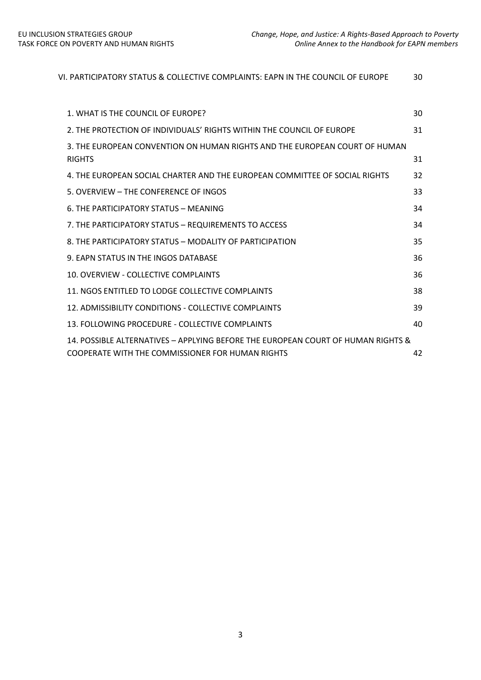| VI. PARTICIPATORY STATUS & COLLECTIVE COMPLAINTS: EAPN IN THE COUNCIL OF EUROPE             | 30 |
|---------------------------------------------------------------------------------------------|----|
| 1. WHAT IS THE COUNCIL OF EUROPE?                                                           | 30 |
| 2. THE PROTECTION OF INDIVIDUALS' RIGHTS WITHIN THE COUNCIL OF EUROPE                       | 31 |
| 3. THE EUROPEAN CONVENTION ON HUMAN RIGHTS AND THE EUROPEAN COURT OF HUMAN<br><b>RIGHTS</b> | 31 |
| 4. THE EUROPEAN SOCIAL CHARTER AND THE EUROPEAN COMMITTEE OF SOCIAL RIGHTS                  | 32 |
| 5. OVERVIEW - THE CONFERENCE OF INGOS                                                       | 33 |
| 6. THE PARTICIPATORY STATUS - MEANING                                                       | 34 |
| 7. THE PARTICIPATORY STATUS - REQUIREMENTS TO ACCESS                                        | 34 |
| 8. THE PARTICIPATORY STATUS - MODALITY OF PARTICIPATION                                     | 35 |
| 9. EAPN STATUS IN THE INGOS DATABASE                                                        | 36 |
| 10. OVERVIEW - COLLECTIVE COMPLAINTS                                                        | 36 |
| 11. NGOS ENTITLED TO LODGE COLLECTIVE COMPLAINTS                                            | 38 |
| 12. ADMISSIBILITY CONDITIONS - COLLECTIVE COMPLAINTS                                        | 39 |
| 13. FOLLOWING PROCEDURE - COLLECTIVE COMPLAINTS                                             | 40 |
| 14. POSSIBLE ALTERNATIVES – APPLYING BEFORE THE EUROPEAN COURT OF HUMAN RIGHTS &            |    |
| COOPERATE WITH THE COMMISSIONER FOR HUMAN RIGHTS                                            | 42 |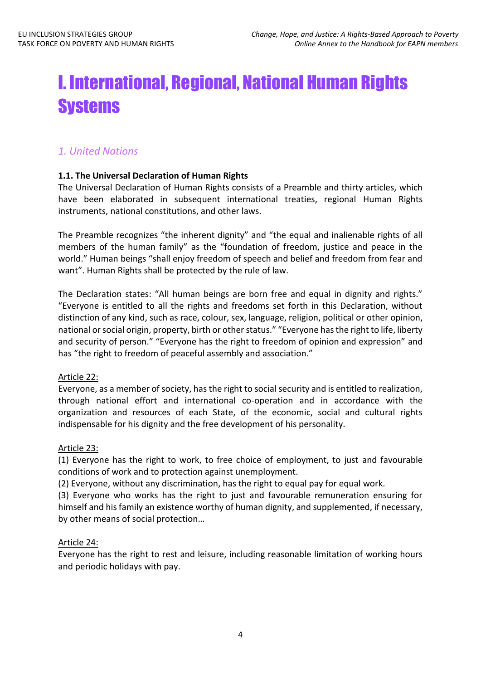## <span id="page-3-0"></span>I. International, Regional, National Human Rights **Systems**

### <span id="page-3-1"></span>*1. United Nations*

#### <span id="page-3-2"></span>**1.1. The Universal Declaration of Human Rights**

The Universal Declaration of Human Rights consists of a Preamble and thirty articles, which have been elaborated in subsequent international treaties, regional Human Rights instruments, national constitutions, and other laws.

The Preamble recognizes "the inherent dignity" and "the equal and inalienable rights of all members of the human family" as the "foundation of freedom, justice and peace in the world." Human beings "shall enjoy freedom of speech and belief and freedom from fear and want". Human Rights shall be protected by the rule of law.

The Declaration states: "All human beings are born free and equal in dignity and rights." "Everyone is entitled to all the rights and freedoms set forth in this Declaration, without distinction of any kind, such as race, colour, sex, language, religion, political or other opinion, national or social origin, property, birth or other status." "Everyone has the right to life, liberty and security of person." "Everyone has the right to freedom of opinion and expression" and has "the right to freedom of peaceful assembly and association."

#### Article 22:

Everyone, as a member of society, has the right to social security and is entitled to realization, through national effort and international co-operation and in accordance with the organization and resources of each State, of the economic, social and cultural rights indispensable for his dignity and the free development of his personality.

#### Article 23:

(1) Everyone has the right to work, to free choice of employment, to just and favourable conditions of work and to protection against unemployment.

(2) Everyone, without any discrimination, has the right to equal pay for equal work.

(3) Everyone who works has the right to just and favourable remuneration ensuring for himself and his family an existence worthy of human dignity, and supplemented, if necessary, by other means of social protection…

#### Article 24:

Everyone has the right to rest and leisure, including reasonable limitation of working hours and periodic holidays with pay.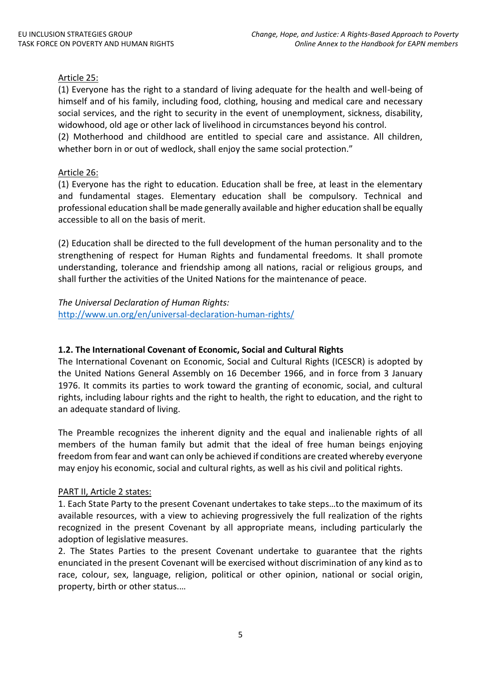#### Article 25:

(1) Everyone has the right to a standard of living adequate for the health and well-being of himself and of his family, including food, clothing, housing and medical care and necessary social services, and the right to security in the event of unemployment, sickness, disability, widowhood, old age or other lack of livelihood in circumstances beyond his control.

(2) Motherhood and childhood are entitled to special care and assistance. All children, whether born in or out of wedlock, shall enjoy the same social protection."

#### Article 26:

(1) Everyone has the right to education. Education shall be free, at least in the elementary and fundamental stages. Elementary education shall be compulsory. Technical and professional education shall be made generally available and higher education shall be equally accessible to all on the basis of merit.

(2) Education shall be directed to the full development of the human personality and to the strengthening of respect for Human Rights and fundamental freedoms. It shall promote understanding, tolerance and friendship among all nations, racial or religious groups, and shall further the activities of the United Nations for the maintenance of peace.

*The Universal Declaration of Human Rights:* <http://www.un.org/en/universal-declaration-human-rights/>

#### <span id="page-4-0"></span>**1.2. The International Covenant of Economic, Social and Cultural Rights**

The International Covenant on Economic, Social and Cultural Rights (ICESCR) is adopted by the United Nations General Assembly on 16 December 1966, and in force from 3 January 1976. It commits its parties to work toward the granting of economic, social, and cultural rights, including labour rights and the right to health, the right to education, and the right to an adequate standard of living.

The Preamble recognizes the inherent dignity and the equal and inalienable rights of all members of the human family but admit that the ideal of free human beings enjoying freedom from fear and want can only be achieved if conditions are created whereby everyone may enjoy his economic, social and cultural rights, as well as his civil and political rights.

#### PART II, Article 2 states:

1. Each State Party to the present Covenant undertakes to take steps…to the maximum of its available resources, with a view to achieving progressively the full realization of the rights recognized in the present Covenant by all appropriate means, including particularly the adoption of legislative measures.

2. The States Parties to the present Covenant undertake to guarantee that the rights enunciated in the present Covenant will be exercised without discrimination of any kind as to race, colour, sex, language, religion, political or other opinion, national or social origin, property, birth or other status.…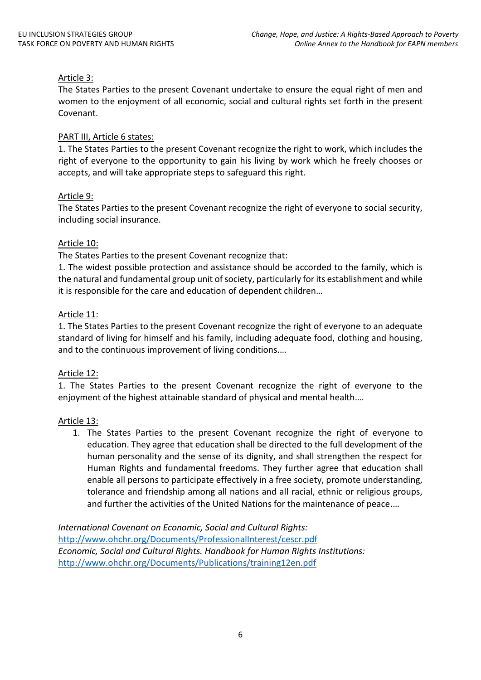#### Article 3:

The States Parties to the present Covenant undertake to ensure the equal right of men and women to the enjoyment of all economic, social and cultural rights set forth in the present Covenant.

#### PART III, Article 6 states:

1. The States Parties to the present Covenant recognize the right to work, which includes the right of everyone to the opportunity to gain his living by work which he freely chooses or accepts, and will take appropriate steps to safeguard this right.

#### Article 9:

The States Parties to the present Covenant recognize the right of everyone to social security, including social insurance.

#### Article 10:

The States Parties to the present Covenant recognize that:

1. The widest possible protection and assistance should be accorded to the family, which is the natural and fundamental group unit of society, particularly for its establishment and while it is responsible for the care and education of dependent children…

#### Article 11:

1. The States Parties to the present Covenant recognize the right of everyone to an adequate standard of living for himself and his family, including adequate food, clothing and housing, and to the continuous improvement of living conditions.…

#### Article 12:

1. The States Parties to the present Covenant recognize the right of everyone to the enjoyment of the highest attainable standard of physical and mental health.…

#### Article 13:

1. The States Parties to the present Covenant recognize the right of everyone to education. They agree that education shall be directed to the full development of the human personality and the sense of its dignity, and shall strengthen the respect for Human Rights and fundamental freedoms. They further agree that education shall enable all persons to participate effectively in a free society, promote understanding, tolerance and friendship among all nations and all racial, ethnic or religious groups, and further the activities of the United Nations for the maintenance of peace.…

*International Covenant on Economic, Social and Cultural Rights:* <http://www.ohchr.org/Documents/ProfessionalInterest/cescr.pdf> *Economic, Social and Cultural Rights. Handbook for Human Rights Institutions:* <http://www.ohchr.org/Documents/Publications/training12en.pdf>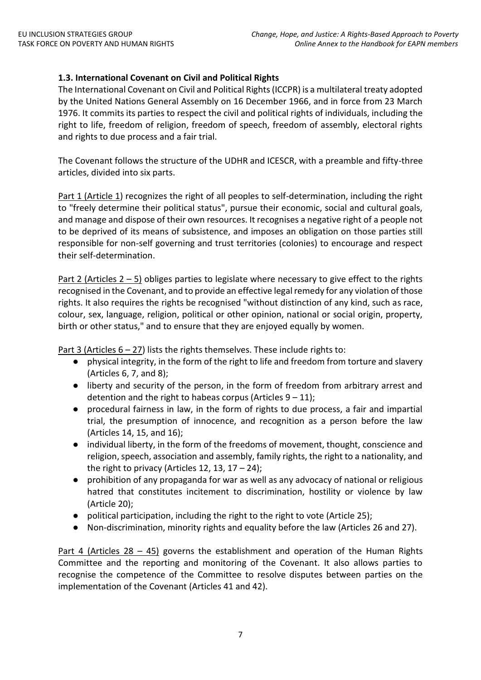#### <span id="page-6-0"></span>**1.3. International Covenant on Civil and Political Rights**

The International Covenant on Civil and Political Rights (ICCPR) is a multilateral treaty adopted by the United Nations General Assembly on 16 December 1966, and in force from 23 March 1976. It commits its parties to respect the civil and political rights of individuals, including the right to life, freedom of religion, freedom of speech, freedom of assembly, electoral rights and rights to due process and a fair trial.

The Covenant follows the structure of the UDHR and ICESCR, with a preamble and fifty-three articles, divided into six parts.

Part 1 (Article 1) recognizes the right of all peoples to self-determination, including the right to "freely determine their political status", pursue their economic, social and cultural goals, and manage and dispose of their own resources. It recognises a negative right of a people not to be deprived of its means of subsistence, and imposes an obligation on those parties still responsible for non-self governing and trust territories (colonies) to encourage and respect their self-determination.

Part 2 (Articles  $2 - 5$ ) obliges parties to legislate where necessary to give effect to the rights recognised in the Covenant, and to provide an effective legal remedy for any violation of those rights. It also requires the rights be recognised "without distinction of any kind, such as race, colour, sex, language, religion, political or other opinion, national or social origin, property, birth or other status," and to ensure that they are enjoyed equally by women.

Part 3 (Articles  $6 - 27$ ) lists the rights themselves. These include rights to:

- physical integrity, in the form of the right to life and freedom from torture and slavery (Articles 6, 7, and 8);
- liberty and security of the person, in the form of freedom from arbitrary arrest and detention and the right to habeas corpus (Articles  $9 - 11$ );
- procedural fairness in law, in the form of rights to due process, a fair and impartial trial, the presumption of innocence, and recognition as a person before the law (Articles 14, 15, and 16);
- individual liberty, in the form of the freedoms of movement, thought, conscience and religion, speech, association and assembly, family rights, the right to a nationality, and the right to privacy (Articles 12, 13, 17 – 24);
- prohibition of any propaganda for war as well as any advocacy of national or religious hatred that constitutes incitement to discrimination, hostility or violence by law (Article 20);
- political participation, including the right to the right to vote (Article 25);
- Non-discrimination, minority rights and equality before the law (Articles 26 and 27).

Part 4 (Articles  $28 - 45$ ) governs the establishment and operation of the Human Rights Committee and the reporting and monitoring of the Covenant. It also allows parties to recognise the competence of the Committee to resolve disputes between parties on the implementation of the Covenant (Articles 41 and 42).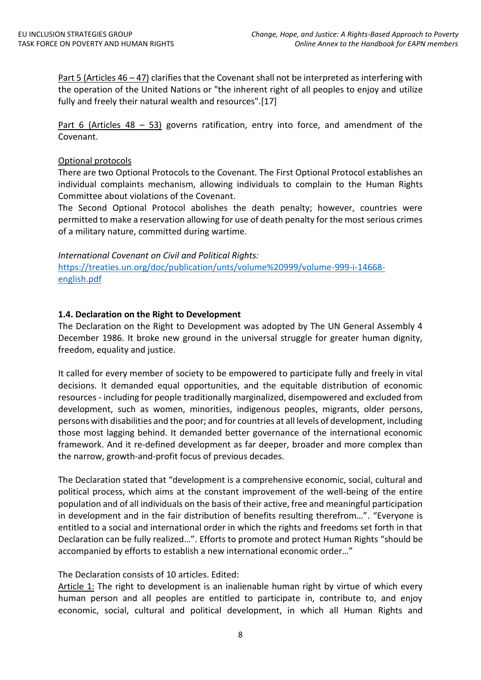Part 5 (Articles  $46 - 47$ ) clarifies that the Covenant shall not be interpreted as interfering with the operation of the United Nations or "the inherent right of all peoples to enjoy and utilize fully and freely their natural wealth and resources".[17]

Part 6 (Articles 48 – 53) governs ratification, entry into force, and amendment of the Covenant.

#### Optional protocols

There are two Optional Protocols to the Covenant. The First Optional Protocol establishes an individual complaints mechanism, allowing individuals to complain to the Human Rights Committee about violations of the Covenant.

The Second Optional Protocol abolishes the death penalty; however, countries were permitted to make a reservation allowing for use of death penalty for the most serious crimes of a military nature, committed during wartime.

*International Covenant on Civil and Political Rights:* [https://treaties.un.org/doc/publication/unts/volume%20999/volume-999-i-14668](https://treaties.un.org/doc/publication/unts/volume%20999/volume-999-i-14668-english.pdf) [english.pdf](https://treaties.un.org/doc/publication/unts/volume%20999/volume-999-i-14668-english.pdf)

#### <span id="page-7-0"></span>**1.4. Declaration on the Right to Development**

The Declaration on the Right to Development was adopted by The UN General Assembly 4 December 1986. It broke new ground in the universal struggle for greater human dignity, freedom, equality and justice.

It called for every member of society to be empowered to participate fully and freely in vital decisions. It demanded equal opportunities, and the equitable distribution of economic resources - including for people traditionally marginalized, disempowered and excluded from development, such as women, minorities, indigenous peoples, migrants, older persons, persons with disabilities and the poor; and for countries at all levels of development, including those most lagging behind. It demanded better governance of the international economic framework. And it re-defined development as far deeper, broader and more complex than the narrow, growth-and-profit focus of previous decades.

The Declaration stated that "development is a comprehensive economic, social, cultural and political process, which aims at the constant improvement of the well-being of the entire population and of all individuals on the basis of their active, free and meaningful participation in development and in the fair distribution of benefits resulting therefrom…". "Everyone is entitled to a social and international order in which the rights and freedoms set forth in that Declaration can be fully realized…". Efforts to promote and protect Human Rights "should be accompanied by efforts to establish a new international economic order…"

#### The Declaration consists of 10 articles. Edited:

Article 1: The right to development is an inalienable human right by virtue of which every human person and all peoples are entitled to participate in, contribute to, and enjoy economic, social, cultural and political development, in which all Human Rights and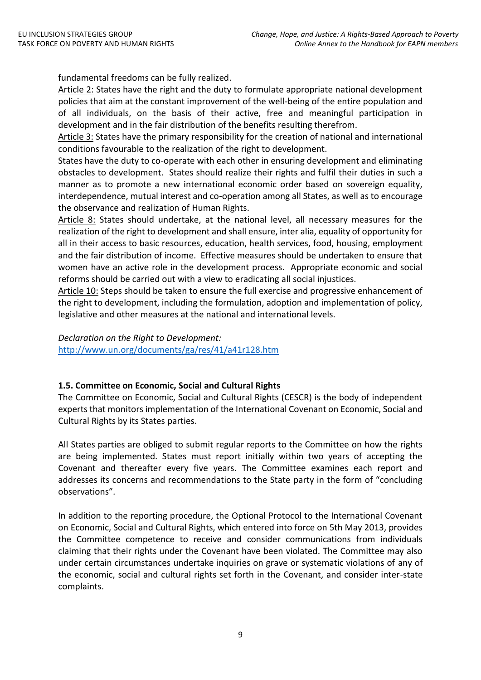fundamental freedoms can be fully realized.

Article 2: States have the right and the duty to formulate appropriate national development policies that aim at the constant improvement of the well-being of the entire population and of all individuals, on the basis of their active, free and meaningful participation in development and in the fair distribution of the benefits resulting therefrom.

Article 3: States have the primary responsibility for the creation of national and international conditions favourable to the realization of the right to development.

States have the duty to co-operate with each other in ensuring development and eliminating obstacles to development. States should realize their rights and fulfil their duties in such a manner as to promote a new international economic order based on sovereign equality, interdependence, mutual interest and co-operation among all States, as well as to encourage the observance and realization of Human Rights.

Article 8: States should undertake, at the national level, all necessary measures for the realization of the right to development and shall ensure, inter alia, equality of opportunity for all in their access to basic resources, education, health services, food, housing, employment and the fair distribution of income. Effective measures should be undertaken to ensure that women have an active role in the development process. Appropriate economic and social reforms should be carried out with a view to eradicating all social injustices.

Article 10: Steps should be taken to ensure the full exercise and progressive enhancement of the right to development, including the formulation, adoption and implementation of policy, legislative and other measures at the national and international levels.

*Declaration on the Right to Development:*

<http://www.un.org/documents/ga/res/41/a41r128.htm>

#### <span id="page-8-0"></span>**1.5. Committee on Economic, Social and Cultural Rights**

The Committee on Economic, Social and Cultural Rights (CESCR) is the body of independent experts that monitors implementation of the International Covenant on Economic, Social and Cultural Rights by its States parties.

All States parties are obliged to submit regular reports to the Committee on how the rights are being implemented. States must report initially within two years of accepting the Covenant and thereafter every five years. The Committee examines each report and addresses its concerns and recommendations to the State party in the form of "concluding observations".

In addition to the reporting procedure, the Optional Protocol to the International Covenant on Economic, Social and Cultural Rights, which entered into force on 5th May 2013, provides the Committee competence to receive and consider communications from individuals claiming that their rights under the Covenant have been violated. The Committee may also under certain circumstances undertake inquiries on grave or systematic violations of any of the economic, social and cultural rights set forth in the Covenant, and consider inter-state complaints.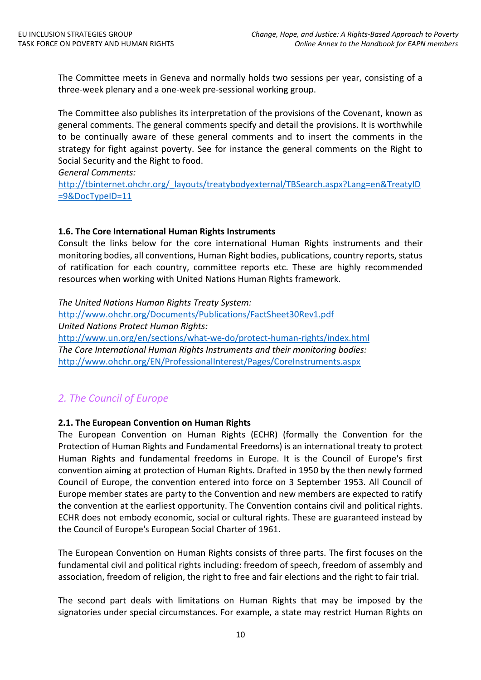The Committee meets in Geneva and normally holds two sessions per year, consisting of a three-week plenary and a one-week pre-sessional working group.

The Committee also publishes its interpretation of the provisions of the Covenant, known as general comments. The general comments specify and detail the provisions. It is worthwhile to be continually aware of these general comments and to insert the comments in the strategy for fight against poverty. See for instance the general comments on the Right to Social Security and the Right to food.

*General Comments:*

[http://tbinternet.ohchr.org/\\_layouts/treatybodyexternal/TBSearch.aspx?Lang=en&TreatyID](http://tbinternet.ohchr.org/_layouts/treatybodyexternal/TBSearch.aspx?Lang=en&TreatyID=9&DocTypeID=11) [=9&DocTypeID=11](http://tbinternet.ohchr.org/_layouts/treatybodyexternal/TBSearch.aspx?Lang=en&TreatyID=9&DocTypeID=11)

#### <span id="page-9-0"></span>**1.6. The Core International Human Rights Instruments**

Consult the links below for the core international Human Rights instruments and their monitoring bodies, all conventions, Human Right bodies, publications, country reports, status of ratification for each country, committee reports etc. These are highly recommended resources when working with United Nations Human Rights framework.

*The United Nations Human Rights Treaty System:* <http://www.ohchr.org/Documents/Publications/FactSheet30Rev1.pdf> *United Nations Protect Human Rights:* <http://www.un.org/en/sections/what-we-do/protect-human-rights/index.html> *The Core International Human Rights Instruments and their monitoring bodies:* <http://www.ohchr.org/EN/ProfessionalInterest/Pages/CoreInstruments.aspx>

## <span id="page-9-1"></span>*2. The Council of Europe*

#### <span id="page-9-2"></span>**2.1. The European Convention on Human Rights**

The European Convention on Human Rights (ECHR) (formally the Convention for the Protection of Human Rights and Fundamental Freedoms) is an international treaty to protect Human Rights and fundamental freedoms in Europe. It is the Council of Europe's first convention aiming at protection of Human Rights. Drafted in 1950 by the then newly formed Council of Europe, the convention entered into force on 3 September 1953. All Council of Europe member states are party to the Convention and new members are expected to ratify the convention at the earliest opportunity. The Convention contains civil and political rights. ECHR does not embody economic, social or cultural rights. These are guaranteed instead by the Council of Europe's European Social Charter of 1961.

The European Convention on Human Rights consists of three parts. The first focuses on the fundamental civil and political rights including: freedom of speech, freedom of assembly and association, freedom of religion, the right to free and fair elections and the right to fair trial.

The second part deals with limitations on Human Rights that may be imposed by the signatories under special circumstances. For example, a state may restrict Human Rights on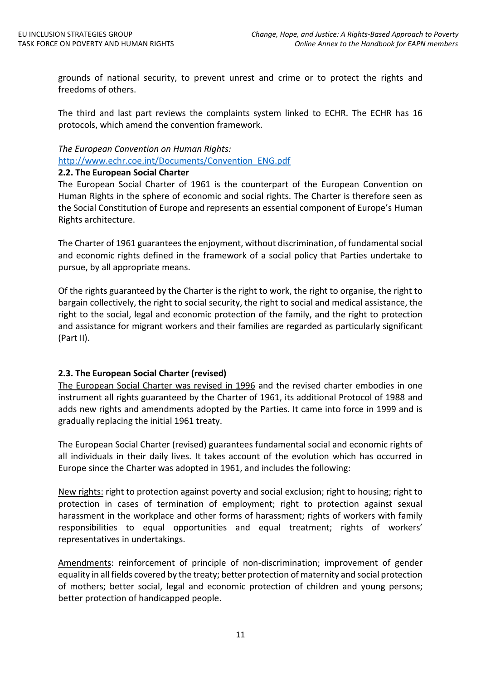grounds of national security, to prevent unrest and crime or to protect the rights and freedoms of others.

The third and last part reviews the complaints system linked to ECHR. The ECHR has 16 protocols, which amend the convention framework.

### *The European Convention on Human Rights:*

[http://www.echr.coe.int/Documents/Convention\\_ENG.pdf](http://www.echr.coe.int/Documents/Convention_ENG.pdf)

#### <span id="page-10-0"></span>**2.2. The European Social Charter**

The European Social Charter of 1961 is the counterpart of the European Convention on Human Rights in the sphere of economic and social rights. The Charter is therefore seen as the Social Constitution of Europe and represents an essential component of Europe's Human Rights architecture.

The Charter of 1961 guarantees the enjoyment, without discrimination, of fundamental social and economic rights defined in the framework of a social policy that Parties undertake to pursue, by all appropriate means.

Of the rights guaranteed by the Charter is the right to work, the right to organise, the right to bargain collectively, the right to social security, the right to social and medical assistance, the right to the social, legal and economic protection of the family, and the right to protection and assistance for migrant workers and their families are regarded as particularly significant (Part II).

#### <span id="page-10-1"></span>**2.3. The European Social Charter (revised)**

The European Social Charter was revised in 1996 and the revised charter embodies in one instrument all rights guaranteed by the Charter of 1961, its additional Protocol of 1988 and adds new rights and amendments adopted by the Parties. It came into force in 1999 and is gradually replacing the initial 1961 treaty.

The European Social Charter (revised) guarantees fundamental social and economic rights of all individuals in their daily lives. It takes account of the evolution which has occurred in Europe since the Charter was adopted in 1961, and includes the following:

New rights: right to protection against poverty and social exclusion; right to housing; right to protection in cases of termination of employment; right to protection against sexual harassment in the workplace and other forms of harassment; rights of workers with family responsibilities to equal opportunities and equal treatment; rights of workers' representatives in undertakings.

Amendments: reinforcement of principle of non-discrimination; improvement of gender equality in all fields covered by the treaty; better protection of maternity and social protection of mothers; better social, legal and economic protection of children and young persons; better protection of handicapped people.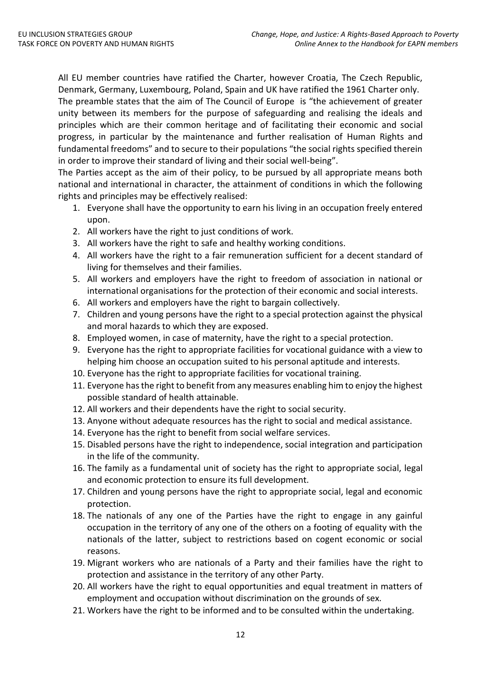All EU member countries have ratified the Charter, however Croatia, The Czech Republic, Denmark, Germany, Luxembourg, Poland, Spain and UK have ratified the 1961 Charter only. The preamble states that the aim of The Council of Europe is "the achievement of greater unity between its members for the purpose of safeguarding and realising the ideals and principles which are their common heritage and of facilitating their economic and social progress, in particular by the maintenance and further realisation of Human Rights and fundamental freedoms" and to secure to their populations "the social rights specified therein in order to improve their standard of living and their social well-being".

The Parties accept as the aim of their policy, to be pursued by all appropriate means both national and international in character, the attainment of conditions in which the following rights and principles may be effectively realised:

- 1. Everyone shall have the opportunity to earn his living in an occupation freely entered upon.
- 2. All workers have the right to just conditions of work.
- 3. All workers have the right to safe and healthy working conditions.
- 4. All workers have the right to a fair remuneration sufficient for a decent standard of living for themselves and their families.
- 5. All workers and employers have the right to freedom of association in national or international organisations for the protection of their economic and social interests.
- 6. All workers and employers have the right to bargain collectively.
- 7. Children and young persons have the right to a special protection against the physical and moral hazards to which they are exposed.
- 8. Employed women, in case of maternity, have the right to a special protection.
- 9. Everyone has the right to appropriate facilities for vocational guidance with a view to helping him choose an occupation suited to his personal aptitude and interests.
- 10. Everyone has the right to appropriate facilities for vocational training.
- 11. Everyone has the right to benefit from any measures enabling him to enjoy the highest possible standard of health attainable.
- 12. All workers and their dependents have the right to social security.
- 13. Anyone without adequate resources has the right to social and medical assistance.
- 14. Everyone has the right to benefit from social welfare services.
- 15. Disabled persons have the right to independence, social integration and participation in the life of the community.
- 16. The family as a fundamental unit of society has the right to appropriate social, legal and economic protection to ensure its full development.
- 17. Children and young persons have the right to appropriate social, legal and economic protection.
- 18. The nationals of any one of the Parties have the right to engage in any gainful occupation in the territory of any one of the others on a footing of equality with the nationals of the latter, subject to restrictions based on cogent economic or social reasons.
- 19. Migrant workers who are nationals of a Party and their families have the right to protection and assistance in the territory of any other Party.
- 20. All workers have the right to equal opportunities and equal treatment in matters of employment and occupation without discrimination on the grounds of sex.
- 21. Workers have the right to be informed and to be consulted within the undertaking.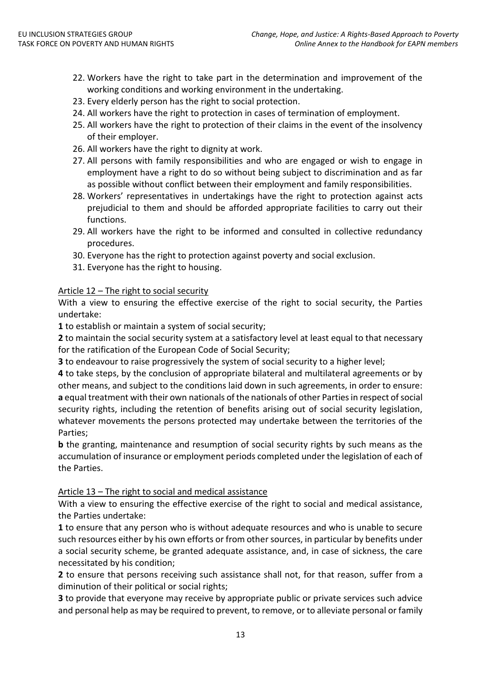- 22. Workers have the right to take part in the determination and improvement of the working conditions and working environment in the undertaking.
- 23. Every elderly person has the right to social protection.
- 24. All workers have the right to protection in cases of termination of employment.
- 25. All workers have the right to protection of their claims in the event of the insolvency of their employer.
- 26. All workers have the right to dignity at work.
- 27. All persons with family responsibilities and who are engaged or wish to engage in employment have a right to do so without being subject to discrimination and as far as possible without conflict between their employment and family responsibilities.
- 28. Workers' representatives in undertakings have the right to protection against acts prejudicial to them and should be afforded appropriate facilities to carry out their functions.
- 29. All workers have the right to be informed and consulted in collective redundancy procedures.
- 30. Everyone has the right to protection against poverty and social exclusion.
- 31. Everyone has the right to housing.

#### Article 12 – The right to social security

With a view to ensuring the effective exercise of the right to social security, the Parties undertake:

**1** to establish or maintain a system of social security;

**2** to maintain the social security system at a satisfactory level at least equal to that necessary for the ratification of the European Code of Social Security;

**3** to endeavour to raise progressively the system of social security to a higher level;

**4** to take steps, by the conclusion of appropriate bilateral and multilateral agreements or by other means, and subject to the conditions laid down in such agreements, in order to ensure: **a** equal treatment with their own nationals of the nationals of other Parties in respect of social security rights, including the retention of benefits arising out of social security legislation, whatever movements the persons protected may undertake between the territories of the Parties;

**b** the granting, maintenance and resumption of social security rights by such means as the accumulation of insurance or employment periods completed under the legislation of each of the Parties.

#### Article 13 – The right to social and medical assistance

With a view to ensuring the effective exercise of the right to social and medical assistance, the Parties undertake:

**1** to ensure that any person who is without adequate resources and who is unable to secure such resources either by his own efforts or from other sources, in particular by benefits under a social security scheme, be granted adequate assistance, and, in case of sickness, the care necessitated by his condition;

**2** to ensure that persons receiving such assistance shall not, for that reason, suffer from a diminution of their political or social rights;

**3** to provide that everyone may receive by appropriate public or private services such advice and personal help as may be required to prevent, to remove, or to alleviate personal or family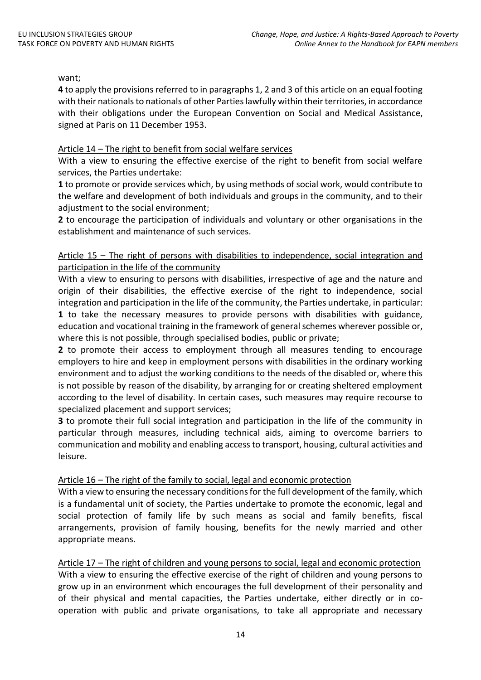want;

**4** to apply the provisions referred to in paragraphs 1, 2 and 3 of this article on an equal footing with their nationals to nationals of other Parties lawfully within their territories, in accordance with their obligations under the European Convention on Social and Medical Assistance, signed at Paris on 11 December 1953.

#### Article 14 – The right to benefit from social welfare services

With a view to ensuring the effective exercise of the right to benefit from social welfare services, the Parties undertake:

**1** to promote or provide services which, by using methods of social work, would contribute to the welfare and development of both individuals and groups in the community, and to their adjustment to the social environment;

**2** to encourage the participation of individuals and voluntary or other organisations in the establishment and maintenance of such services.

#### Article 15 – The right of persons with disabilities to independence, social integration and participation in the life of the community

With a view to ensuring to persons with disabilities, irrespective of age and the nature and origin of their disabilities, the effective exercise of the right to independence, social integration and participation in the life of the community, the Parties undertake, in particular: **1** to take the necessary measures to provide persons with disabilities with guidance, education and vocational training in the framework of general schemes wherever possible or, where this is not possible, through specialised bodies, public or private;

**2** to promote their access to employment through all measures tending to encourage employers to hire and keep in employment persons with disabilities in the ordinary working environment and to adjust the working conditions to the needs of the disabled or, where this is not possible by reason of the disability, by arranging for or creating sheltered employment according to the level of disability. In certain cases, such measures may require recourse to specialized placement and support services;

**3** to promote their full social integration and participation in the life of the community in particular through measures, including technical aids, aiming to overcome barriers to communication and mobility and enabling access to transport, housing, cultural activities and leisure.

#### Article 16 – The right of the family to social, legal and economic protection

With a view to ensuring the necessary conditions for the full development of the family, which is a fundamental unit of society, the Parties undertake to promote the economic, legal and social protection of family life by such means as social and family benefits, fiscal arrangements, provision of family housing, benefits for the newly married and other appropriate means.

Article 17 – The right of children and young persons to social, legal and economic protection With a view to ensuring the effective exercise of the right of children and young persons to grow up in an environment which encourages the full development of their personality and of their physical and mental capacities, the Parties undertake, either directly or in cooperation with public and private organisations, to take all appropriate and necessary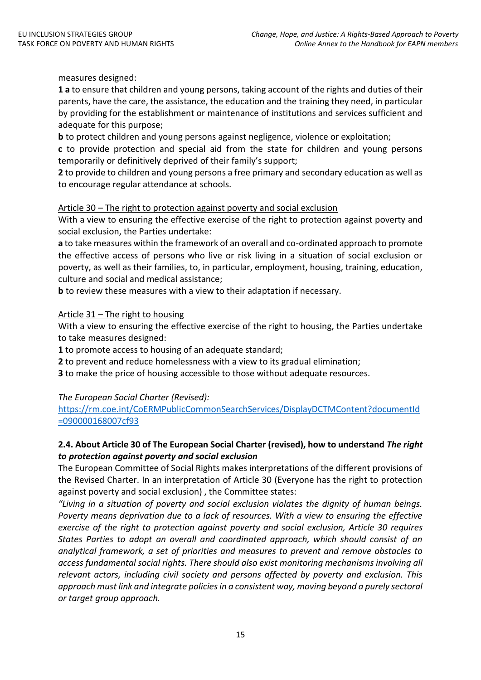measures designed:

**1 a** to ensure that children and young persons, taking account of the rights and duties of their parents, have the care, the assistance, the education and the training they need, in particular by providing for the establishment or maintenance of institutions and services sufficient and adequate for this purpose;

**b** to protect children and young persons against negligence, violence or exploitation;

**c** to provide protection and special aid from the state for children and young persons temporarily or definitively deprived of their family's support;

**2** to provide to children and young persons a free primary and secondary education as well as to encourage regular attendance at schools.

#### Article 30 – The right to protection against poverty and social exclusion

With a view to ensuring the effective exercise of the right to protection against poverty and social exclusion, the Parties undertake:

**a** to take measures within the framework of an overall and co-ordinated approach to promote the effective access of persons who live or risk living in a situation of social exclusion or poverty, as well as their families, to, in particular, employment, housing, training, education, culture and social and medical assistance;

**b** to review these measures with a view to their adaptation if necessary.

Article 31 – The right to housing

With a view to ensuring the effective exercise of the right to housing, the Parties undertake to take measures designed:

**1** to promote access to housing of an adequate standard;

**2** to prevent and reduce homelessness with a view to its gradual elimination;

**3** to make the price of housing accessible to those without adequate resources.

*The European Social Charter (Revised):*

[https://rm.coe.int/CoERMPublicCommonSearchServices/DisplayDCTMContent?documentId](https://rm.coe.int/CoERMPublicCommonSearchServices/DisplayDCTMContent?documentId=090000168007cf93) [=090000168007cf93](https://rm.coe.int/CoERMPublicCommonSearchServices/DisplayDCTMContent?documentId=090000168007cf93)

#### <span id="page-14-0"></span>**2.4. About Article 30 of The European Social Charter (revised), how to understand** *The right to protection against poverty and social exclusion*

The European Committee of Social Rights makes interpretations of the different provisions of the Revised Charter. In an interpretation of Article 30 (Everyone has the right to protection against poverty and social exclusion) , the Committee states:

*"Living in a situation of poverty and social exclusion violates the dignity of human beings. Poverty means deprivation due to a lack of resources. With a view to ensuring the effective exercise of the right to protection against poverty and social exclusion, Article 30 requires States Parties to adopt an overall and coordinated approach, which should consist of an analytical framework, a set of priorities and measures to prevent and remove obstacles to access fundamental social rights. There should also exist monitoring mechanisms involving all relevant actors, including civil society and persons affected by poverty and exclusion. This approach must link and integrate policies in a consistent way, moving beyond a purely sectoral or target group approach.*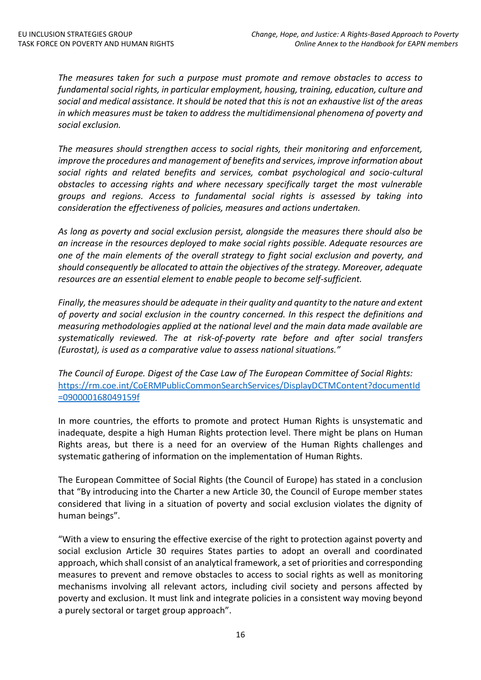*The measures taken for such a purpose must promote and remove obstacles to access to fundamental social rights, in particular employment, housing, training, education, culture and social and medical assistance. It should be noted that this is not an exhaustive list of the areas in which measures must be taken to address the multidimensional phenomena of poverty and social exclusion.*

*The measures should strengthen access to social rights, their monitoring and enforcement, improve the procedures and management of benefits and services, improve information about social rights and related benefits and services, combat psychological and socio-cultural obstacles to accessing rights and where necessary specifically target the most vulnerable groups and regions. Access to fundamental social rights is assessed by taking into consideration the effectiveness of policies, measures and actions undertaken.*

*As long as poverty and social exclusion persist, alongside the measures there should also be an increase in the resources deployed to make social rights possible. Adequate resources are one of the main elements of the overall strategy to fight social exclusion and poverty, and should consequently be allocated to attain the objectives of the strategy. Moreover, adequate resources are an essential element to enable people to become self-sufficient.*

*Finally, the measures should be adequate in their quality and quantity to the nature and extent of poverty and social exclusion in the country concerned. In this respect the definitions and measuring methodologies applied at the national level and the main data made available are systematically reviewed. The at risk-of-poverty rate before and after social transfers (Eurostat), is used as a comparative value to assess national situations."*

*The Council of Europe. Digest of the Case Law of The European Committee of Social Rights:* [https://rm.coe.int/CoERMPublicCommonSearchServices/DisplayDCTMContent?documentId](https://rm.coe.int/CoERMPublicCommonSearchServices/DisplayDCTMContent?documentId=090000168049159f) [=090000168049159f](https://rm.coe.int/CoERMPublicCommonSearchServices/DisplayDCTMContent?documentId=090000168049159f)

In more countries, the efforts to promote and protect Human Rights is unsystematic and inadequate, despite a high Human Rights protection level. There might be plans on Human Rights areas, but there is a need for an overview of the Human Rights challenges and systematic gathering of information on the implementation of Human Rights.

The European Committee of Social Rights (the Council of Europe) has stated in a conclusion that "By introducing into the Charter a new Article 30, the Council of Europe member states considered that living in a situation of poverty and social exclusion violates the dignity of human beings".

"With a view to ensuring the effective exercise of the right to protection against poverty and social exclusion Article 30 requires States parties to adopt an overall and coordinated approach, which shall consist of an analytical framework, a set of priorities and corresponding measures to prevent and remove obstacles to access to social rights as well as monitoring mechanisms involving all relevant actors, including civil society and persons affected by poverty and exclusion. It must link and integrate policies in a consistent way moving beyond a purely sectoral or target group approach".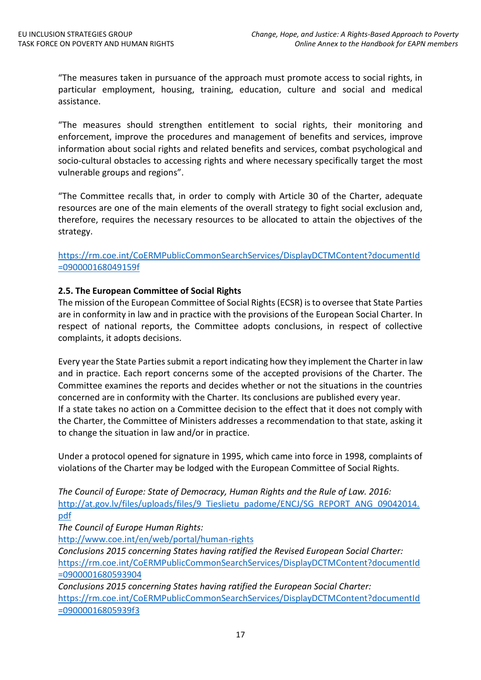"The measures taken in pursuance of the approach must promote access to social rights, in particular employment, housing, training, education, culture and social and medical assistance.

"The measures should strengthen entitlement to social rights, their monitoring and enforcement, improve the procedures and management of benefits and services, improve information about social rights and related benefits and services, combat psychological and socio-cultural obstacles to accessing rights and where necessary specifically target the most vulnerable groups and regions".

"The Committee recalls that, in order to comply with Article 30 of the Charter, adequate resources are one of the main elements of the overall strategy to fight social exclusion and, therefore, requires the necessary resources to be allocated to attain the objectives of the strategy.

https://rm.coe.int/CoERMPublicCommonSearchServices/DisplayDCTMContent?documentId =090000168049159f

#### <span id="page-16-0"></span>**2.5. The European Committee of Social Rights**

The mission of the European Committee of Social Rights (ECSR) is to oversee that State Parties are in conformity in law and in practice with the provisions of the European Social Charter. In respect of national reports, the Committee adopts conclusions, in respect of collective complaints, it adopts decisions.

Every year the State Parties submit a report indicating how they implement the Charter in law and in practice. Each report concerns some of the accepted provisions of the Charter. The Committee examines the reports and decides whether or not the situations in the countries concerned are in conformity with the Charter. Its conclusions are published every year. If a state takes no action on a Committee decision to the effect that it does not comply with the Charter, the Committee of Ministers addresses a recommendation to that state, asking it to change the situation in law and/or in practice.

Under a protocol opened for signature in 1995, which came into force in 1998, complaints of violations of the Charter may be lodged with the European Committee of Social Rights.

*The Council of Europe: State of Democracy, Human Rights and the Rule of Law. 2016:* http://at.gov.lv/files/uploads/files/9 Tieslietu padome/ENCJ/SG\_REPORT\_ANG\_09042014. [pdf](http://at.gov.lv/files/uploads/files/9_Tieslietu_padome/ENCJ/SG_REPORT_ANG_09042014.pdf)

*The Council of Europe Human Rights:*

<http://www.coe.int/en/web/portal/human-rights>

*Conclusions 2015 concerning States having ratified the Revised European Social Charter:* [https://rm.coe.int/CoERMPublicCommonSearchServices/DisplayDCTMContent?documentId](https://rm.coe.int/CoERMPublicCommonSearchServices/DisplayDCTMContent?documentId=0900001680593904) [=0900001680593904](https://rm.coe.int/CoERMPublicCommonSearchServices/DisplayDCTMContent?documentId=0900001680593904)

*Conclusions 2015 concerning States having ratified the European Social Charter:* [https://rm.coe.int/CoERMPublicCommonSearchServices/DisplayDCTMContent?documentId](https://rm.coe.int/CoERMPublicCommonSearchServices/DisplayDCTMContent?documentId=09000016805939f3) [=09000016805939f3](https://rm.coe.int/CoERMPublicCommonSearchServices/DisplayDCTMContent?documentId=09000016805939f3)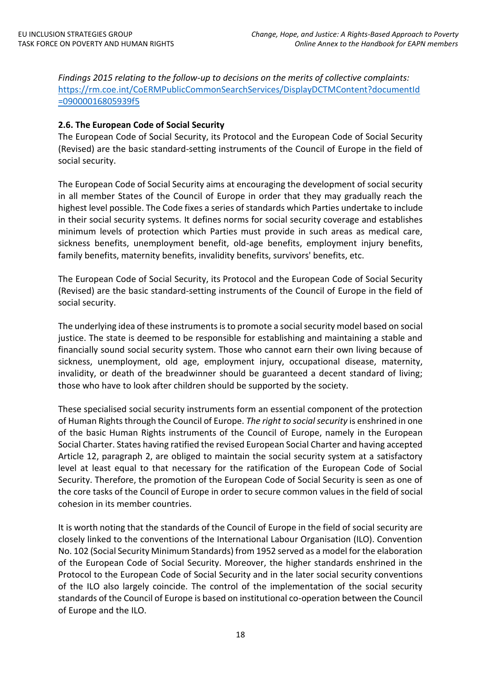*Findings 2015 relating to the follow-up to decisions on the merits of collective complaints:* [https://rm.coe.int/CoERMPublicCommonSearchServices/DisplayDCTMContent?documentId](https://rm.coe.int/CoERMPublicCommonSearchServices/DisplayDCTMContent?documentId=09000016805939f5) [=09000016805939f5](https://rm.coe.int/CoERMPublicCommonSearchServices/DisplayDCTMContent?documentId=09000016805939f5)

#### <span id="page-17-0"></span>**2.6. The European Code of Social Security**

The European Code of Social Security, its Protocol and the European Code of Social Security (Revised) are the basic standard-setting instruments of the Council of Europe in the field of social security.

The European Code of Social Security aims at encouraging the development of social security in all member States of the Council of Europe in order that they may gradually reach the highest level possible. The Code fixes a series of standards which Parties undertake to include in their social security systems. It defines norms for social security coverage and establishes minimum levels of protection which Parties must provide in such areas as medical care, sickness benefits, unemployment benefit, old-age benefits, employment injury benefits, family benefits, maternity benefits, invalidity benefits, survivors' benefits, etc.

The European Code of Social Security, its Protocol and the European Code of Social Security (Revised) are the basic standard-setting instruments of the Council of Europe in the field of social security.

The underlying idea of these instruments is to promote a social security model based on social justice. The state is deemed to be responsible for establishing and maintaining a stable and financially sound social security system. Those who cannot earn their own living because of sickness, unemployment, old age, employment injury, occupational disease, maternity, invalidity, or death of the breadwinner should be guaranteed a decent standard of living; those who have to look after children should be supported by the society.

These specialised social security instruments form an essential component of the protection of Human Rights through the Council of Europe. *The right to social security* is enshrined in one of the basic Human Rights instruments of the Council of Europe, namely in the European Social Charter. States having ratified the revised European Social Charter and having accepted Article 12, paragraph 2, are obliged to maintain the social security system at a satisfactory level at least equal to that necessary for the ratification of the European Code of Social Security. Therefore, the promotion of the European Code of Social Security is seen as one of the core tasks of the Council of Europe in order to secure common values in the field of social cohesion in its member countries.

It is worth noting that the standards of the Council of Europe in the field of social security are closely linked to the conventions of the International Labour Organisation (ILO). Convention No. 102 (Social Security Minimum Standards) from 1952 served as a model for the elaboration of the European Code of Social Security. Moreover, the higher standards enshrined in the Protocol to the European Code of Social Security and in the later social security conventions of the ILO also largely coincide. The control of the implementation of the social security standards of the Council of Europe is based on institutional co-operation between the Council of Europe and the ILO.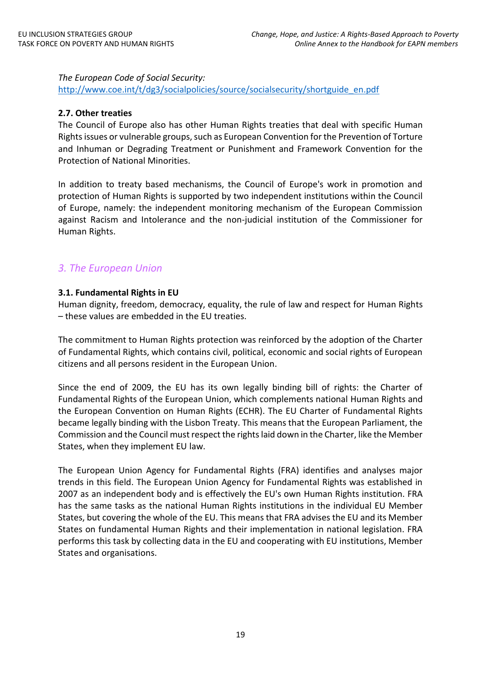*The European Code of Social Security:* [http://www.coe.int/t/dg3/socialpolicies/source/socialsecurity/shortguide\\_en.pdf](http://www.coe.int/t/dg3/socialpolicies/source/socialsecurity/shortguide_en.pdf)

#### <span id="page-18-0"></span>**2.7. Other treaties**

The Council of Europe also has other Human Rights treaties that deal with specific Human Rights issues or vulnerable groups, such as European Convention for the Prevention of Torture and Inhuman or Degrading Treatment or Punishment and Framework Convention for the Protection of National Minorities.

In addition to treaty based mechanisms, the Council of Europe's work in promotion and protection of Human Rights is supported by two independent institutions within the Council of Europe, namely: the independent monitoring mechanism of the European Commission against Racism and Intolerance and the non-judicial institution of the Commissioner for Human Rights.

## <span id="page-18-1"></span>*3. The European Union*

#### <span id="page-18-2"></span>**3.1. Fundamental Rights in EU**

Human dignity, freedom, democracy, equality, the rule of law and respect for Human Rights – these values are embedded in the EU treaties.

The commitment to Human Rights protection was reinforced by the adoption of the Charter of Fundamental Rights, which contains civil, political, economic and social rights of European citizens and all persons resident in the European Union.

Since the end of 2009, the EU has its own legally binding bill of rights: the Charter of Fundamental Rights of the European Union, which complements national Human Rights and the European Convention on Human Rights (ECHR). The EU Charter of Fundamental Rights became legally binding with the Lisbon Treaty. This means that the European Parliament, the Commission and the Council must respect the rights laid down in the Charter, like the Member States, when they implement EU law.

The European Union Agency for Fundamental Rights (FRA) identifies and analyses major trends in this field. The European Union Agency for Fundamental Rights was established in 2007 as an independent body and is effectively the EU's own Human Rights institution. FRA has the same tasks as the national Human Rights institutions in the individual EU Member States, but covering the whole of the EU. This means that FRA advises the EU and its Member States on fundamental Human Rights and their implementation in national legislation. FRA performs this task by collecting data in the EU and cooperating with EU institutions, Member States and organisations.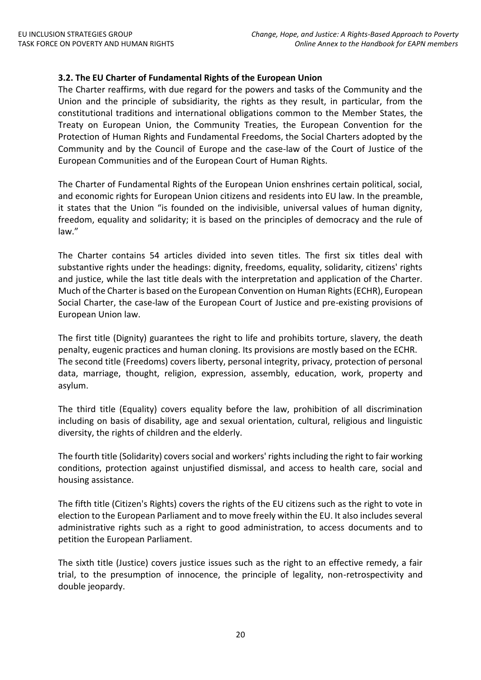#### <span id="page-19-0"></span>**3.2. The EU Charter of Fundamental Rights of the European Union**

The Charter reaffirms, with due regard for the powers and tasks of the Community and the Union and the principle of subsidiarity, the rights as they result, in particular, from the constitutional traditions and international obligations common to the Member States, the Treaty on European Union, the Community Treaties, the European Convention for the Protection of Human Rights and Fundamental Freedoms, the Social Charters adopted by the Community and by the Council of Europe and the case-law of the Court of Justice of the European Communities and of the European Court of Human Rights.

The Charter of Fundamental Rights of the European Union enshrines certain political, social, and economic rights for European Union citizens and residents into EU law. In the preamble, it states that the Union "is founded on the indivisible, universal values of human dignity, freedom, equality and solidarity; it is based on the principles of democracy and the rule of law."

The Charter contains 54 articles divided into seven titles. The first six titles deal with substantive rights under the headings: dignity, freedoms, equality, solidarity, citizens' rights and justice, while the last title deals with the interpretation and application of the Charter. Much of the Charter is based on the European Convention on Human Rights(ECHR), European Social Charter, the case-law of the European Court of Justice and pre-existing provisions of European Union law.

The first title (Dignity) guarantees the right to life and prohibits torture, slavery, the death penalty, eugenic practices and human cloning. Its provisions are mostly based on the ECHR. The second title (Freedoms) covers liberty, personal integrity, privacy, protection of personal data, marriage, thought, religion, expression, assembly, education, work, property and asylum.

The third title (Equality) covers equality before the law, prohibition of all discrimination including on basis of disability, age and sexual orientation, cultural, religious and linguistic diversity, the rights of children and the elderly.

The fourth title (Solidarity) covers social and workers' rights including the right to fair working conditions, protection against unjustified dismissal, and access to health care, social and housing assistance.

The fifth title (Citizen's Rights) covers the rights of the EU citizens such as the right to vote in election to the European Parliament and to move freely within the EU. It also includes several administrative rights such as a right to good administration, to access documents and to petition the European Parliament.

The sixth title (Justice) covers justice issues such as the right to an effective remedy, a fair trial, to the presumption of innocence, the principle of legality, non-retrospectivity and double jeopardy.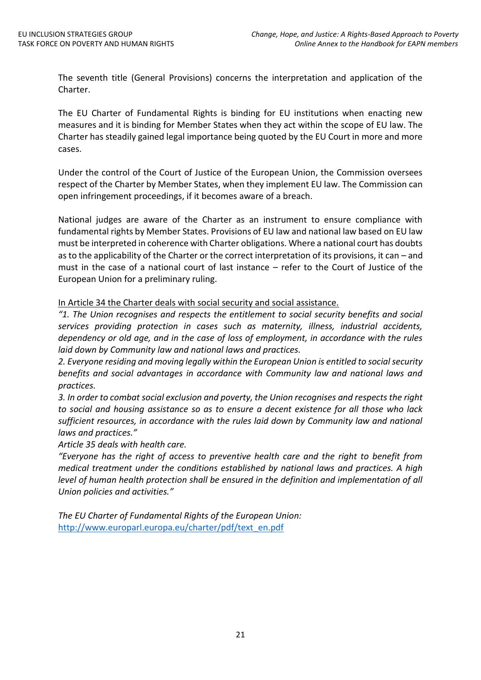The seventh title (General Provisions) concerns the interpretation and application of the Charter.

The EU Charter of Fundamental Rights is binding for EU institutions when enacting new measures and it is binding for Member States when they act within the scope of EU law. The Charter has steadily gained legal importance being quoted by the EU Court in more and more cases.

Under the control of the Court of Justice of the European Union, the Commission oversees respect of the Charter by Member States, when they implement EU law. The Commission can open infringement proceedings, if it becomes aware of a breach.

National judges are aware of the Charter as an instrument to ensure compliance with fundamental rights by Member States. Provisions of EU law and national law based on EU law must be interpreted in coherence with Charter obligations. Where a national court has doubts as to the applicability of the Charter or the correct interpretation of its provisions, it can – and must in the case of a national court of last instance – refer to the Court of Justice of the European Union for a preliminary ruling.

In Article 34 the Charter deals with social security and social assistance.

*"1. The Union recognises and respects the entitlement to social security benefits and social services providing protection in cases such as maternity, illness, industrial accidents, dependency or old age, and in the case of loss of employment, in accordance with the rules laid down by Community law and national laws and practices.*

*2. Everyone residing and moving legally within the European Union is entitled to social security benefits and social advantages in accordance with Community law and national laws and practices.*

*3. In order to combat social exclusion and poverty, the Union recognises and respects the right to social and housing assistance so as to ensure a decent existence for all those who lack sufficient resources, in accordance with the rules laid down by Community law and national laws and practices."*

*Article 35 deals with health care.*

*"Everyone has the right of access to preventive health care and the right to benefit from medical treatment under the conditions established by national laws and practices. A high level of human health protection shall be ensured in the definition and implementation of all Union policies and activities."*

*The EU Charter of Fundamental Rights of the European Union:* [http://www.europarl.europa.eu/charter/pdf/text\\_en.pdf](http://www.europarl.europa.eu/charter/pdf/text_en.pdf)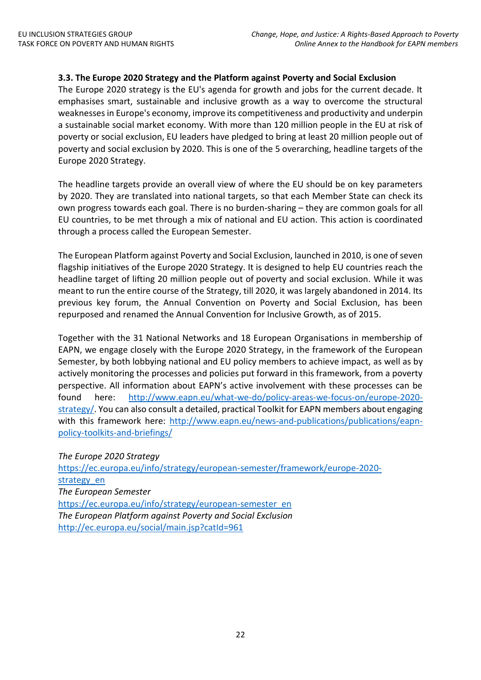#### <span id="page-21-0"></span>**3.3. The Europe 2020 Strategy and the Platform against Poverty and Social Exclusion**

The Europe 2020 strategy is the EU's agenda for growth and jobs for the current decade. It emphasises smart, sustainable and inclusive growth as a way to overcome the structural weaknesses in Europe's economy, improve its competitiveness and productivity and underpin a sustainable social market economy. With more than 120 million people in the EU at risk of poverty or social exclusion, EU leaders have pledged to bring at least 20 million people out of poverty and social exclusion by 2020. This is one of the 5 overarching, headline targets of the Europe 2020 Strategy.

The headline targets provide an overall view of where the EU should be on key parameters by 2020. They are translated into national targets, so that each Member State can check its own progress towards each goal. There is no burden-sharing – they are common goals for all EU countries, to be met through a mix of national and EU action. This action is coordinated through a process called the European Semester.

The European Platform against Poverty and Social Exclusion, launched in 2010, is one of seven flagship initiatives of the Europe 2020 Strategy. It is designed to help EU countries reach the headline target of lifting 20 million people out of poverty and social exclusion. While it was meant to run the entire course of the Strategy, till 2020, it was largely abandoned in 2014. Its previous key forum, the Annual Convention on Poverty and Social Exclusion, has been repurposed and renamed the Annual Convention for Inclusive Growth, as of 2015.

Together with the 31 National Networks and 18 European Organisations in membership of EAPN, we engage closely with the Europe 2020 Strategy, in the framework of the European Semester, by both lobbying national and EU policy members to achieve impact, as well as by actively monitoring the processes and policies put forward in this framework, from a poverty perspective. All information about EAPN's active involvement with these processes can be found here: [http://www.eapn.eu/what-we-do/policy-areas-we-focus-on/europe-2020](http://www.eapn.eu/what-we-do/policy-areas-we-focus-on/europe-2020-strategy/) [strategy/.](http://www.eapn.eu/what-we-do/policy-areas-we-focus-on/europe-2020-strategy/) You can also consult a detailed, practical Toolkit for EAPN members about engaging with this framework here: [http://www.eapn.eu/news-and-publications/publications/eapn](http://www.eapn.eu/news-and-publications/publications/eapn-policy-toolkits-and-briefings/)[policy-toolkits-and-briefings/](http://www.eapn.eu/news-and-publications/publications/eapn-policy-toolkits-and-briefings/)

*The Europe 2020 Strategy* [https://ec.europa.eu/info/strategy/european-semester/framework/europe-2020](https://ec.europa.eu/info/strategy/european-semester/framework/europe-2020-strategy_en) strategy en *The European Semester* [https://ec.europa.eu/info/strategy/european-semester\\_en](https://ec.europa.eu/info/strategy/european-semester_en) *The European Platform against Poverty and Social Exclusion* <http://ec.europa.eu/social/main.jsp?catId=961>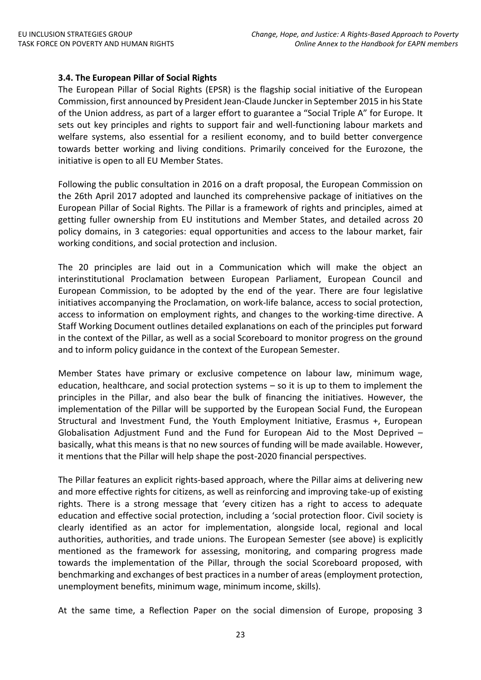#### <span id="page-22-0"></span>**3.4. The European Pillar of Social Rights**

The European Pillar of Social Rights (EPSR) is the flagship social initiative of the European Commission, first announced by President Jean-Claude Juncker in September 2015 in his State of the Union address, as part of a larger effort to guarantee a "Social Triple A" for Europe. It sets out key principles and rights to support fair and well-functioning labour markets and welfare systems, also essential for a resilient economy, and to build better convergence towards better working and living conditions. Primarily conceived for the Eurozone, the initiative is open to all EU Member States.

Following the public consultation in 2016 on a draft proposal, the European Commission on the 26th April 2017 adopted and launched its comprehensive package of initiatives on the European Pillar of Social Rights. The Pillar is a framework of rights and principles, aimed at getting fuller ownership from EU institutions and Member States, and detailed across 20 policy domains, in 3 categories: equal opportunities and access to the labour market, fair working conditions, and social protection and inclusion.

The 20 principles are laid out in a Communication which will make the object an interinstitutional Proclamation between European Parliament, European Council and European Commission, to be adopted by the end of the year. There are four legislative initiatives accompanying the Proclamation, on work-life balance, access to social protection, access to information on employment rights, and changes to the working-time directive. A Staff Working Document outlines detailed explanations on each of the principles put forward in the context of the Pillar, as well as a social Scoreboard to monitor progress on the ground and to inform policy guidance in the context of the European Semester.

Member States have primary or exclusive competence on labour law, minimum wage, education, healthcare, and social protection systems – so it is up to them to implement the principles in the Pillar, and also bear the bulk of financing the initiatives. However, the implementation of the Pillar will be supported by the European Social Fund, the European Structural and Investment Fund, the Youth Employment Initiative, Erasmus +, European Globalisation Adjustment Fund and the Fund for European Aid to the Most Deprived – basically, what this means is that no new sources of funding will be made available. However, it mentions that the Pillar will help shape the post-2020 financial perspectives.

The Pillar features an explicit rights-based approach, where the Pillar aims at delivering new and more effective rights for citizens, as well as reinforcing and improving take-up of existing rights. There is a strong message that 'every citizen has a right to access to adequate education and effective social protection, including a 'social protection floor. Civil society is clearly identified as an actor for implementation, alongside local, regional and local authorities, authorities, and trade unions. The European Semester (see above) is explicitly mentioned as the framework for assessing, monitoring, and comparing progress made towards the implementation of the Pillar, through the social Scoreboard proposed, with benchmarking and exchanges of best practices in a number of areas (employment protection, unemployment benefits, minimum wage, minimum income, skills).

At the same time, a Reflection Paper on the social dimension of Europe, proposing 3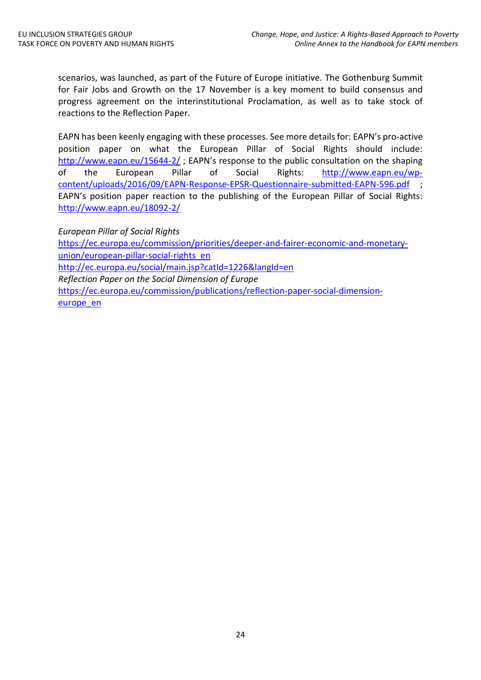scenarios, was launched, as part of the Future of Europe initiative. The Gothenburg Summit for Fair Jobs and Growth on the 17 November is a key moment to build consensus and progress agreement on the interinstitutional Proclamation, as well as to take stock of reactions to the Reflection Paper.

EAPN has been keenly engaging with these processes. See more details for: EAPN's pro-active position paper on what the European Pillar of Social Rights should include: <http://www.eapn.eu/15644-2/> ; EAPN's response to the public consultation on the shaping of the European Pillar of Social Rights: [http://www.eapn.eu/wp](http://www.eapn.eu/wp-content/uploads/2016/09/EAPN-Response-EPSR-Questionnaire-submitted-EAPN-596.pdf)[content/uploads/2016/09/EAPN-Response-EPSR-Questionnaire-submitted-EAPN-596.pdf](http://www.eapn.eu/wp-content/uploads/2016/09/EAPN-Response-EPSR-Questionnaire-submitted-EAPN-596.pdf) ; EAPN's position paper reaction to the publishing of the European Pillar of Social Rights: <http://www.eapn.eu/18092-2/>

<span id="page-23-0"></span>*European Pillar of Social Rights* [https://ec.europa.eu/commission/priorities/deeper-and-fairer-economic-and-monetary](https://ec.europa.eu/commission/priorities/deeper-and-fairer-economic-and-monetary-union/european-pillar-social-rights_en)[union/european-pillar-social-rights\\_en](https://ec.europa.eu/commission/priorities/deeper-and-fairer-economic-and-monetary-union/european-pillar-social-rights_en) <http://ec.europa.eu/social/main.jsp?catId=1226&langId=en> *Reflection Paper on the Social Dimension of Europe*  [https://ec.europa.eu/commission/publications/reflection-paper-social-dimension](https://ec.europa.eu/commission/publications/reflection-paper-social-dimension-europe_en)[europe\\_en](https://ec.europa.eu/commission/publications/reflection-paper-social-dimension-europe_en)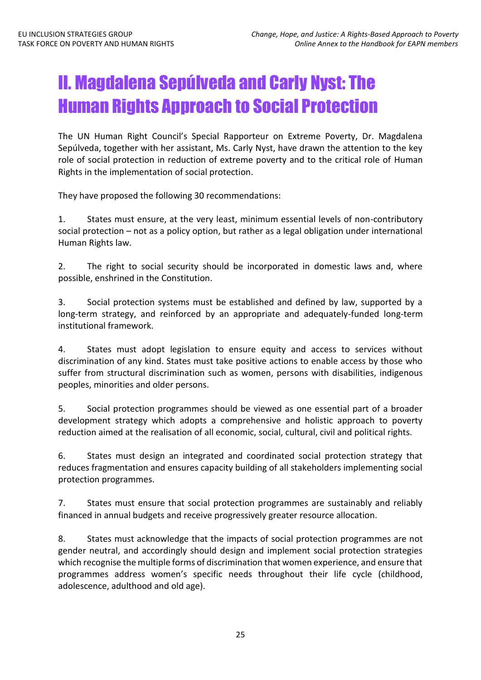## II. Magdalena Sepúlveda and Carly Nyst: The Human Rights Approach to Social Protection

The UN Human Right Council's Special Rapporteur on Extreme Poverty, Dr. Magdalena Sepúlveda, together with her assistant, Ms. Carly Nyst, have drawn the attention to the key role of social protection in reduction of extreme poverty and to the critical role of Human Rights in the implementation of social protection.

They have proposed the following 30 recommendations:

1. States must ensure, at the very least, minimum essential levels of non-contributory social protection – not as a policy option, but rather as a legal obligation under international Human Rights law.

2. The right to social security should be incorporated in domestic laws and, where possible, enshrined in the Constitution.

3. Social protection systems must be established and defined by law, supported by a long-term strategy, and reinforced by an appropriate and adequately-funded long-term institutional framework.

4. States must adopt legislation to ensure equity and access to services without discrimination of any kind. States must take positive actions to enable access by those who suffer from structural discrimination such as women, persons with disabilities, indigenous peoples, minorities and older persons.

5. Social protection programmes should be viewed as one essential part of a broader development strategy which adopts a comprehensive and holistic approach to poverty reduction aimed at the realisation of all economic, social, cultural, civil and political rights.

6. States must design an integrated and coordinated social protection strategy that reduces fragmentation and ensures capacity building of all stakeholders implementing social protection programmes.

7. States must ensure that social protection programmes are sustainably and reliably financed in annual budgets and receive progressively greater resource allocation.

8. States must acknowledge that the impacts of social protection programmes are not gender neutral, and accordingly should design and implement social protection strategies which recognise the multiple forms of discrimination that women experience, and ensure that programmes address women's specific needs throughout their life cycle (childhood, adolescence, adulthood and old age).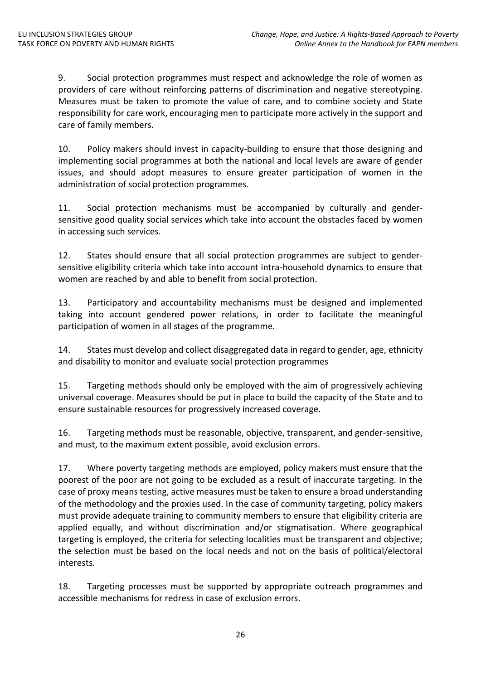9. Social protection programmes must respect and acknowledge the role of women as providers of care without reinforcing patterns of discrimination and negative stereotyping. Measures must be taken to promote the value of care, and to combine society and State responsibility for care work, encouraging men to participate more actively in the support and care of family members.

10. Policy makers should invest in capacity-building to ensure that those designing and implementing social programmes at both the national and local levels are aware of gender issues, and should adopt measures to ensure greater participation of women in the administration of social protection programmes.

11. Social protection mechanisms must be accompanied by culturally and gendersensitive good quality social services which take into account the obstacles faced by women in accessing such services.

12. States should ensure that all social protection programmes are subject to gendersensitive eligibility criteria which take into account intra-household dynamics to ensure that women are reached by and able to benefit from social protection.

13. Participatory and accountability mechanisms must be designed and implemented taking into account gendered power relations, in order to facilitate the meaningful participation of women in all stages of the programme.

14. States must develop and collect disaggregated data in regard to gender, age, ethnicity and disability to monitor and evaluate social protection programmes

15. Targeting methods should only be employed with the aim of progressively achieving universal coverage. Measures should be put in place to build the capacity of the State and to ensure sustainable resources for progressively increased coverage.

16. Targeting methods must be reasonable, objective, transparent, and gender-sensitive, and must, to the maximum extent possible, avoid exclusion errors.

17. Where poverty targeting methods are employed, policy makers must ensure that the poorest of the poor are not going to be excluded as a result of inaccurate targeting. In the case of proxy means testing, active measures must be taken to ensure a broad understanding of the methodology and the proxies used. In the case of community targeting, policy makers must provide adequate training to community members to ensure that eligibility criteria are applied equally, and without discrimination and/or stigmatisation. Where geographical targeting is employed, the criteria for selecting localities must be transparent and objective; the selection must be based on the local needs and not on the basis of political/electoral interests.

18. Targeting processes must be supported by appropriate outreach programmes and accessible mechanisms for redress in case of exclusion errors.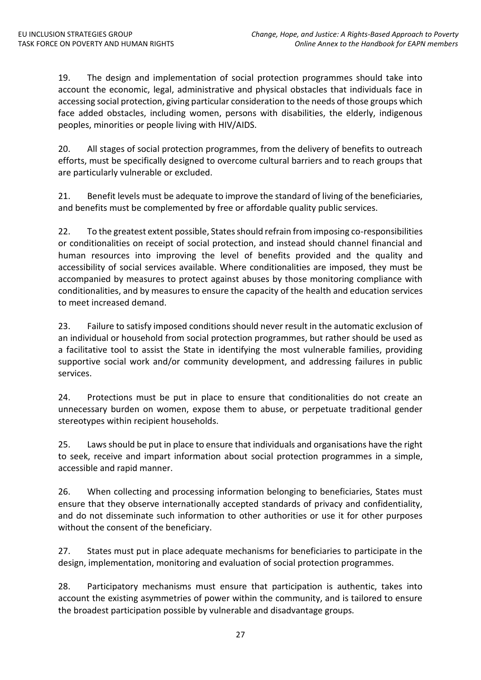19. The design and implementation of social protection programmes should take into account the economic, legal, administrative and physical obstacles that individuals face in accessing social protection, giving particular consideration to the needs of those groups which face added obstacles, including women, persons with disabilities, the elderly, indigenous peoples, minorities or people living with HIV/AIDS.

20. All stages of social protection programmes, from the delivery of benefits to outreach efforts, must be specifically designed to overcome cultural barriers and to reach groups that are particularly vulnerable or excluded.

21. Benefit levels must be adequate to improve the standard of living of the beneficiaries, and benefits must be complemented by free or affordable quality public services.

22. To the greatest extent possible, States should refrain from imposing co-responsibilities or conditionalities on receipt of social protection, and instead should channel financial and human resources into improving the level of benefits provided and the quality and accessibility of social services available. Where conditionalities are imposed, they must be accompanied by measures to protect against abuses by those monitoring compliance with conditionalities, and by measures to ensure the capacity of the health and education services to meet increased demand.

23. Failure to satisfy imposed conditions should never result in the automatic exclusion of an individual or household from social protection programmes, but rather should be used as a facilitative tool to assist the State in identifying the most vulnerable families, providing supportive social work and/or community development, and addressing failures in public services.

24. Protections must be put in place to ensure that conditionalities do not create an unnecessary burden on women, expose them to abuse, or perpetuate traditional gender stereotypes within recipient households.

25. Laws should be put in place to ensure that individuals and organisations have the right to seek, receive and impart information about social protection programmes in a simple, accessible and rapid manner.

26. When collecting and processing information belonging to beneficiaries, States must ensure that they observe internationally accepted standards of privacy and confidentiality, and do not disseminate such information to other authorities or use it for other purposes without the consent of the beneficiary.

27. States must put in place adequate mechanisms for beneficiaries to participate in the design, implementation, monitoring and evaluation of social protection programmes.

28. Participatory mechanisms must ensure that participation is authentic, takes into account the existing asymmetries of power within the community, and is tailored to ensure the broadest participation possible by vulnerable and disadvantage groups.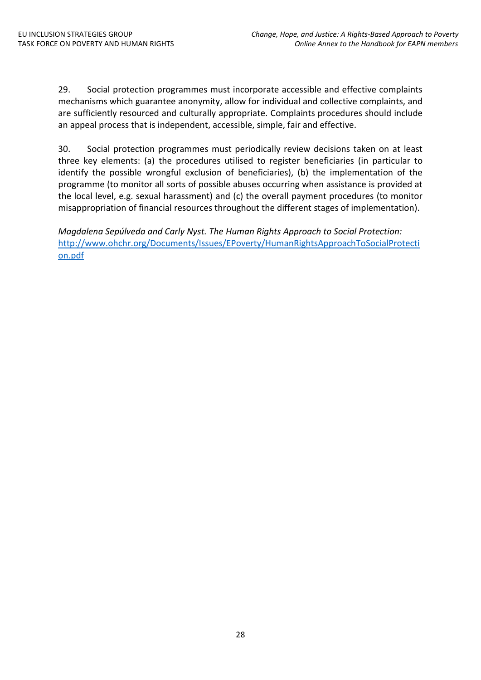29. Social protection programmes must incorporate accessible and effective complaints mechanisms which guarantee anonymity, allow for individual and collective complaints, and are sufficiently resourced and culturally appropriate. Complaints procedures should include an appeal process that is independent, accessible, simple, fair and effective.

30. Social protection programmes must periodically review decisions taken on at least three key elements: (a) the procedures utilised to register beneficiaries (in particular to identify the possible wrongful exclusion of beneficiaries), (b) the implementation of the programme (to monitor all sorts of possible abuses occurring when assistance is provided at the local level, e.g. sexual harassment) and (c) the overall payment procedures (to monitor misappropriation of financial resources throughout the different stages of implementation).

*Magdalena Sepúlveda and Carly Nyst. The Human Rights Approach to Social Protection:* [http://www.ohchr.org/Documents/Issues/EPoverty/HumanRightsApproachToSocialProtecti](http://www.ohchr.org/Documents/Issues/EPoverty/HumanRightsApproachToSocialProtection.pdf) [on.pdf](http://www.ohchr.org/Documents/Issues/EPoverty/HumanRightsApproachToSocialProtection.pdf)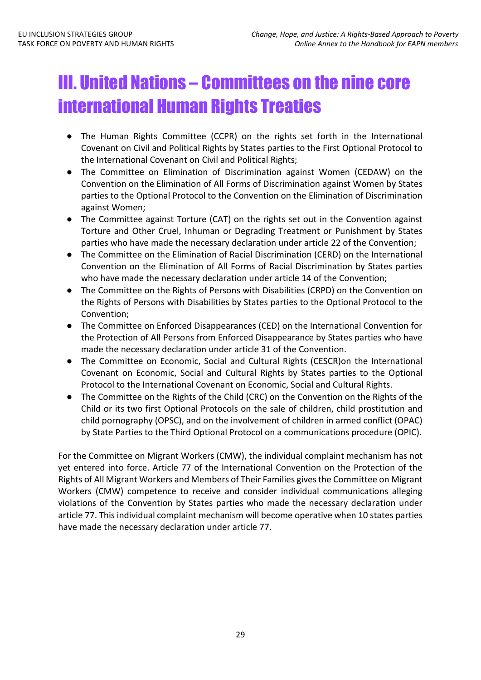## <span id="page-28-0"></span>III. United Nations – Committees on the nine core international Human Rights Treaties

- The Human Rights Committee (CCPR) on the rights set forth in the International Covenant on Civil and Political Rights by States parties to the First Optional Protocol to the International Covenant on Civil and Political Rights;
- The Committee on Elimination of Discrimination against Women (CEDAW) on the Convention on the Elimination of All Forms of Discrimination against Women by States parties to the Optional Protocol to the Convention on the Elimination of Discrimination against Women;
- The Committee against Torture (CAT) on the rights set out in the Convention against Torture and Other Cruel, Inhuman or Degrading Treatment or Punishment by States parties who have made the necessary declaration under article 22 of the Convention;
- The Committee on the Elimination of Racial Discrimination (CERD) on the International Convention on the Elimination of All Forms of Racial Discrimination by States parties who have made the necessary declaration under article 14 of the Convention;
- The Committee on the Rights of Persons with Disabilities (CRPD) on the Convention on the Rights of Persons with Disabilities by States parties to the Optional Protocol to the Convention;
- The Committee on Enforced Disappearances (CED) on the International Convention for the Protection of All Persons from Enforced Disappearance by States parties who have made the necessary declaration under article 31 of the Convention.
- The Committee on Economic, Social and Cultural Rights (CESCR)on the International Covenant on Economic, Social and Cultural Rights by States parties to the Optional Protocol to the International Covenant on Economic, Social and Cultural Rights.
- The Committee on the Rights of the Child (CRC) on the Convention on the Rights of the Child or its two first Optional Protocols on the sale of children, child prostitution and child pornography (OPSC), and on the involvement of children in armed conflict (OPAC) by State Parties to the Third Optional Protocol on a communications procedure (OPIC).

For the Committee on Migrant Workers (CMW), the individual complaint mechanism has not yet entered into force. Article 77 of the International Convention on the Protection of the Rights of All Migrant Workers and Members of Their Families gives the Committee on Migrant Workers (CMW) competence to receive and consider individual communications alleging violations of the Convention by States parties who made the necessary declaration under article 77. This individual complaint mechanism will become operative when 10 states parties have made the necessary declaration under article 77.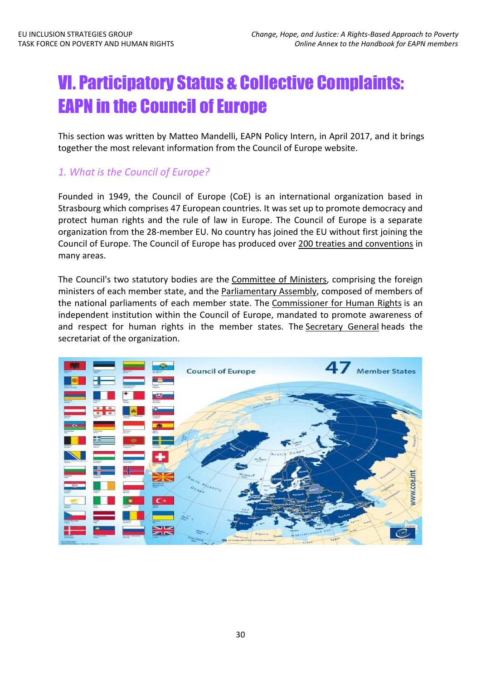## <span id="page-29-0"></span>VI. Participatory Status & Collective Complaints: EAPN in the Council of Europe

This section was written by Matteo Mandelli, EAPN Policy Intern, in April 2017, and it brings together the most relevant information from the Council of Europe website.

## <span id="page-29-1"></span>*1. What is the Council of Europe?*

Founded in 1949, the Council of Europe (CoE) is an international organization based in Strasbourg which comprises 47 European countries. It was set up to promote democracy and protect human rights and the rule of law in Europe. The Council of Europe is a separate organization from the 28-member EU. No country has joined the EU without first joining the Council of Europe. The Council of Europe has produced over [200 treaties and conventions](http://www.conventions.coe.int/Treaty/Commun/ListeTraites.asp?CL=ENG&CM=8) in many areas.

The Council's two statutory bodies are the [Committee of Ministers,](https://en.wikipedia.org/wiki/Committee_of_Ministers) comprising the foreign ministers of each member state, and the [Parliamentary Assembly,](https://en.wikipedia.org/wiki/Parliamentary_Assembly_of_the_Council_of_Europe) composed of members of the national parliaments of each member state. The [Commissioner for Human Rights](https://en.wikipedia.org/wiki/Commissioner_for_Human_Rights) is an independent institution within the Council of Europe, mandated to promote awareness of and respect for human rights in the member states. The [Secretary General](https://en.wikipedia.org/wiki/Secretary_General_of_the_Council_of_Europe) heads the secretariat of the organization.

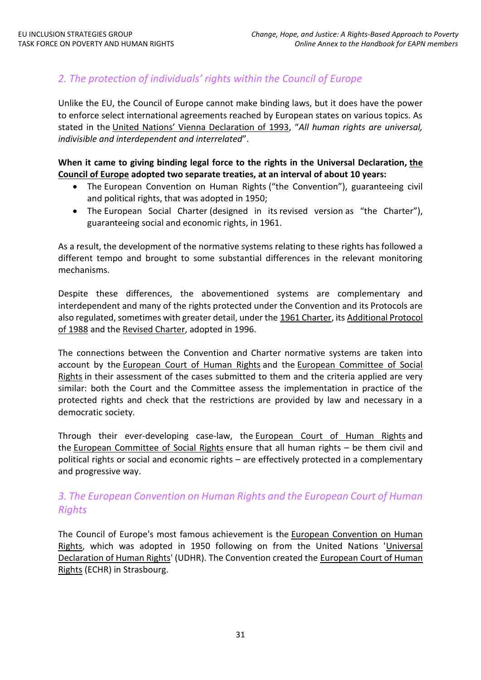## <span id="page-30-0"></span>*2. The protection of individuals' rights within the Council of Europe*

Unlike the EU, the Council of Europe cannot make binding laws, but it does have the power to enforce select international agreements reached by European states on various topics. As stated in the [United Nations' Vienna Declaration of 1993,](http://www.ohchr.org/EN/ProfessionalInterest/Pages/Vienna.aspx) "*All human rights are universal, indivisible and interdependent and interrelated*".

#### **When it came to giving binding legal force to the rights in the Universal Declaration, [the](http://www.coe.int/)  [Council of Europe](http://www.coe.int/) adopted two separate treaties, at an interval of about 10 years:**

- The [European Convention on Human Rights](http://www.echr.coe.int/Pages/home.aspx?p=home) ("the Convention"), guaranteeing civil and political rights, that was adopted in 1950;
- The [European Social Charter](http://www.coe.int/en/web/conventions/full-list/-/conventions/treaty/035) (designed in its [revised version](http://www.coe.int/en/web/conventions/full-list/-/conventions/treaty/163) as "the Charter"), guaranteeing social and economic rights, in 1961.

As a result, the development of the normative systems relating to these rights has followed a different tempo and brought to some substantial differences in the relevant monitoring mechanisms.

Despite these differences, the abovementioned systems are complementary and interdependent and many of the rights protected under the Convention and its Protocols are also regulated, sometimes with greater detail, under the [1961 Charter,](http://www.coe.int/en/web/conventions/full-list/-/conventions/treaty/035) its [Additional Protocol](http://www.coe.int/web/conventions/full-list/-/conventions/treaty/128)  [of 1988](http://www.coe.int/web/conventions/full-list/-/conventions/treaty/128) and the [Revised Charter,](http://www.coe.int/en/web/conventions/full-list/-/conventions/treaty/163) adopted in 1996.

The connections between the Convention and Charter normative systems are taken into account by the [European Court of Human Rights](http://www.echr.coe.int/Pages/home.aspx?p=home) and the [European Committee of Social](http://www.coe.int/web/turin-european-social-charter/european-committee-of-social-rights)  [Rights](http://www.coe.int/web/turin-european-social-charter/european-committee-of-social-rights) in their assessment of the cases submitted to them and the criteria applied are very similar: both the Court and the Committee assess the implementation in practice of the protected rights and check that the restrictions are provided by law and necessary in a democratic society.

Through their ever-developing case-law, the [European Court of Human Rights](http://www.echr.coe.int/Pages/home.aspx?p=home) and the [European Committee of Social Rights](http://www.coe.int/web/turin-european-social-charter/european-committee-of-social-rights) ensure that all human rights – be them civil and political rights or social and economic rights – are effectively protected in a complementary and progressive way.

### <span id="page-30-1"></span>*3. The European Convention on Human Rights and the European Court of Human Rights*

The Council of Europe's most famous achievement is the [European Convention on Human](https://en.wikipedia.org/wiki/European_Convention_on_Human_Rights)  [Rights,](https://en.wikipedia.org/wiki/European_Convention_on_Human_Rights) which was adopted in 1950 following on from the United Nations ['Universal](https://en.wikipedia.org/wiki/Universal_Declaration_of_Human_Rights)  [Declaration of Human Rights'](https://en.wikipedia.org/wiki/Universal_Declaration_of_Human_Rights) (UDHR). The Convention created the [European Court of Human](https://en.wikipedia.org/wiki/European_Court_of_Human_Rights)  [Rights](https://en.wikipedia.org/wiki/European_Court_of_Human_Rights) (ECHR) in Strasbourg.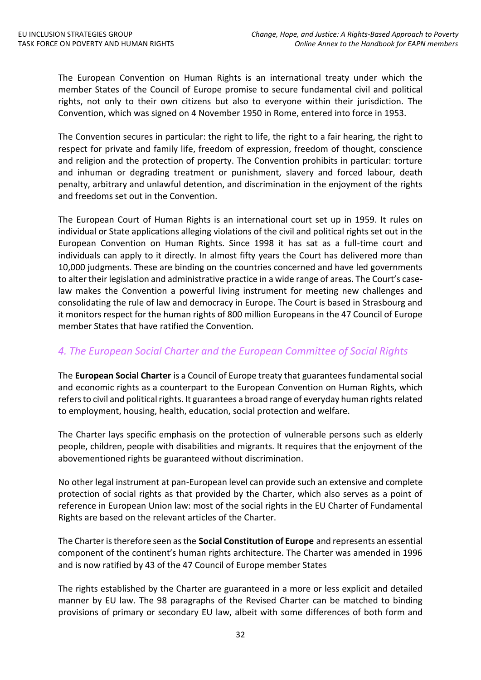The European Convention on Human Rights is an international treaty under which the member States of the Council of Europe promise to secure fundamental civil and political rights, not only to their own citizens but also to everyone within their jurisdiction. The Convention, which was signed on 4 November 1950 in Rome, entered into force in 1953.

The Convention secures in particular: the right to life, the right to a fair hearing, the right to respect for private and family life, freedom of expression, freedom of thought, conscience and religion and the protection of property. The Convention prohibits in particular: torture and inhuman or degrading treatment or punishment, slavery and forced labour, death penalty, arbitrary and unlawful detention, and discrimination in the enjoyment of the rights and freedoms set out in the Convention.

The European Court of Human Rights is an international court set up in 1959. It rules on individual or State applications alleging violations of the civil and political rights set out in the European Convention on Human Rights. Since 1998 it has sat as a full-time court and individuals can apply to it directly. In almost fifty years the Court has delivered more than 10,000 judgments. These are binding on the countries concerned and have led governments to alter their legislation and administrative practice in a wide range of areas. The Court's caselaw makes the Convention a powerful living instrument for meeting new challenges and consolidating the rule of law and democracy in Europe. The Court is based in Strasbourg and it monitors respect for the human rights of 800 million Europeans in the 47 Council of Europe member States that have ratified the Convention.

## <span id="page-31-0"></span>*4. The European Social Charter and the European Committee of Social Rights*

The **European Social Charter** is a Council of Europe treaty that guarantees fundamental social and economic rights as a counterpart to the European Convention on Human Rights, which refers to civil and political rights. It guarantees a broad range of everyday human rights related to employment, housing, health, education, social protection and welfare.

The Charter lays specific emphasis on the protection of vulnerable persons such as elderly people, children, people with disabilities and migrants. It requires that the enjoyment of the abovementioned rights be guaranteed without discrimination.

No other legal instrument at pan-European level can provide such an extensive and complete protection of social rights as that provided by the Charter, which also serves as a point of reference in European Union law: most of the social rights in the EU Charter of Fundamental Rights are based on the relevant articles of the Charter.

The Charter is therefore seen as the **Social Constitution of Europe** and represents an essential component of the continent's human rights architecture. The Charter was amended in 1996 and is now ratified by 43 of the 47 Council of Europe member States

The rights established by the Charter are guaranteed in a more or less explicit and detailed manner by EU law. The 98 paragraphs of the Revised Charter can be matched to binding provisions of primary or secondary EU law, albeit with some differences of both form and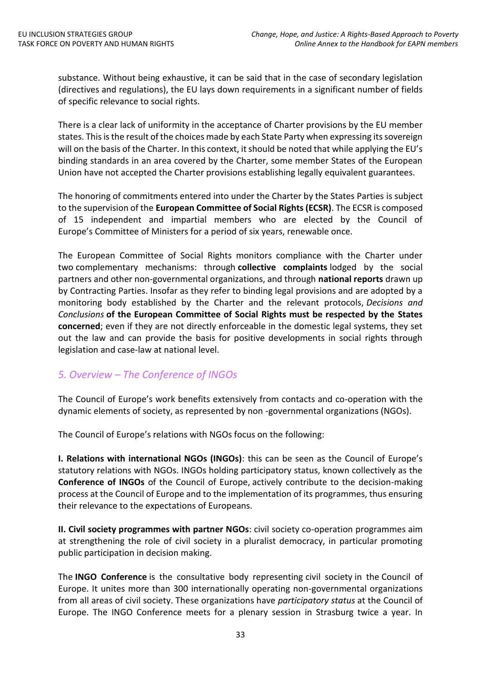substance. Without being exhaustive, it can be said that in the case of secondary legislation (directives and regulations), the EU lays down requirements in a significant number of fields of specific relevance to social rights.

There is a clear lack of uniformity in the acceptance of Charter provisions by the EU member states. This is the result of the choices made by each State Party when expressing its sovereign will on the basis of the Charter. In this context, it should be noted that while applying the EU's binding standards in an area covered by the Charter, some member States of the European Union have not accepted the Charter provisions establishing legally equivalent guarantees.

The honoring of commitments entered into under the Charter by the States Parties is subject to the supervision of the **European Committee of Social Rights (ECSR)**. The ECSR is composed of 15 independent and impartial members who are elected by the Council of Europe's Committee of Ministers for a period of six years, renewable once.

The European Committee of Social Rights monitors compliance with the Charter under two complementary mechanisms: through **collective complaints** lodged by the social partners and other non-governmental organizations, and through **national reports** drawn up by Contracting Parties. Insofar as they refer to binding legal provisions and are adopted by a monitoring body established by the Charter and the relevant protocols, *Decisions and Conclusions* **of the European Committee of Social Rights must be respected by the States concerned**; even if they are not directly enforceable in the domestic legal systems, they set out the law and can provide the basis for positive developments in social rights through legislation and case-law at national level.

## <span id="page-32-0"></span>*5. Overview – The Conference of INGOs*

The Council of Europe's work benefits extensively from contacts and co-operation with the dynamic elements of society, as represented by non -governmental organizations (NGOs).

The Council of Europe's relations with NGOs focus on the following:

**I. Relations with international NGOs (INGOs)**: this can be seen as the Council of Europe's statutory relations with NGOs. INGOs holding participatory status, known collectively as the **Conference of INGOs** of the Council of Europe, actively contribute to the decision-making process at the Council of Europe and to the implementation of its programmes, thus ensuring their relevance to the expectations of Europeans.

**II. Civil society programmes with partner NGOs**: civil society co-operation programmes aim at strengthening the role of civil society in a pluralist democracy, in particular promoting public participation in decision making.

The **INGO Conference** is the consultative body representing civil society in the Council of Europe. It unites more than 300 internationally operating non-governmental organizations from all areas of civil society. These organizations have *participatory status* at the Council of Europe. The INGO Conference meets for a plenary session in Strasburg twice a year. In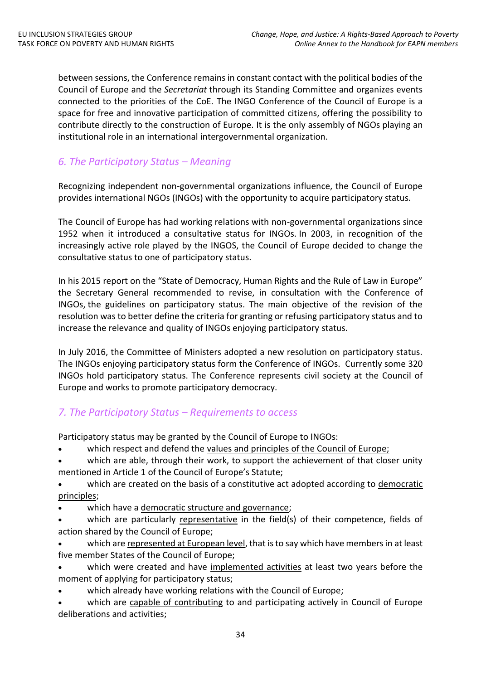between sessions, the Conference remains in constant contact with the political bodies of the Council of Europe and the *Secretariat* through its Standing Committee and organizes events connected to the priorities of the CoE. The INGO Conference of the Council of Europe is a space for free and innovative participation of committed citizens, offering the possibility to contribute directly to the construction of Europe. It is the only assembly of NGOs playing an institutional role in an international intergovernmental organization.

## <span id="page-33-0"></span>*6. The Participatory Status – Meaning*

Recognizing independent non-governmental organizations influence, the Council of Europe provides international NGOs (INGOs) with the opportunity to acquire participatory status.

The Council of Europe has had working relations with non-governmental organizations since 1952 when it introduced a consultative status for INGOs. In 2003, in recognition of the increasingly active role played by the INGOS, the Council of Europe decided to change the consultative status to one of participatory status.

In his 2015 report on the "State of Democracy, Human Rights and the Rule of Law in Europe" the Secretary General recommended to revise, in consultation with the Conference of INGOs, the guidelines on participatory status. The main objective of the revision of the resolution was to better define the criteria for granting or refusing participatory status and to increase the relevance and quality of INGOs enjoying participatory status.

In July 2016, the Committee of Ministers adopted a new resolution on participatory status. The INGOs enjoying participatory status form the Conference of INGOs. Currently some 320 INGOs hold participatory status. The Conference represents civil society at the Council of Europe and works to promote participatory democracy.

## <span id="page-33-1"></span>*7. The Participatory Status – Requirements to access*

Participatory status may be granted by the Council of Europe to INGOs:

- which respect and defend the values and principles of the Council of Europe;
- which are able, through their work, to support the achievement of that closer unity mentioned in Article 1 of the Council of Europe's Statute;
- which are created on the basis of a constitutive act adopted according to democratic principles;
- which have a democratic structure and governance;
- which are particularly representative in the field(s) of their competence, fields of action shared by the Council of Europe;
- which are represented at European level, that is to say which have members in at least five member States of the Council of Europe;
- which were created and have implemented activities at least two years before the moment of applying for participatory status;
- which already have working relations with the Council of Europe;
- which are capable of contributing to and participating actively in Council of Europe deliberations and activities;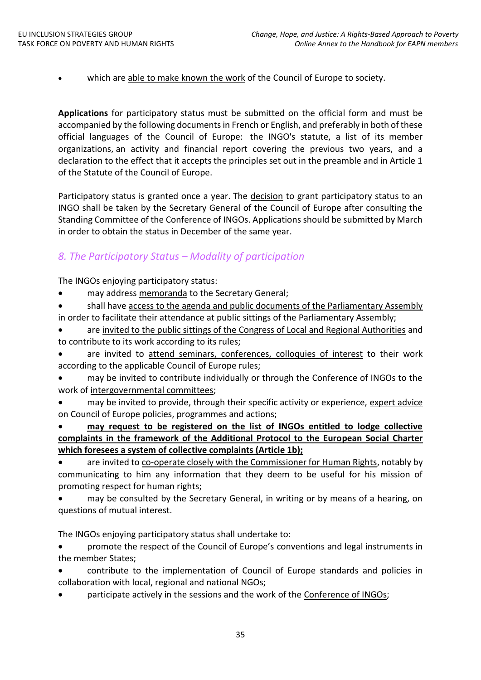• which are able to make known the work of the Council of Europe to society.

**Applications** for participatory status must be submitted on the official form and must be accompanied by the following documents in French or English, and preferably in both of these official languages of the Council of Europe: the INGO's statute, a list of its member organizations, an activity and financial report covering the previous two years, and a declaration to the effect that it accepts the principles set out in the preamble and in Article 1 of the Statute of the Council of Europe.

Participatory status is granted once a year. The decision to grant participatory status to an INGO shall be taken by the Secretary General of the Council of Europe after consulting the Standing Committee of the Conference of INGOs. Applications should be submitted by March in order to obtain the status in December of the same year.

## <span id="page-34-0"></span>*8. The Participatory Status – Modality of participation*

The INGOs enjoying participatory status:

- may address memoranda to the Secretary General;
- shall have access to the agenda and public documents of the Parliamentary Assembly in order to facilitate their attendance at public sittings of the Parliamentary Assembly;
- are invited to the public sittings of the Congress of Local and Regional Authorities and to contribute to its work according to its rules;
- are invited to attend seminars, conferences, colloquies of interest to their work according to the applicable Council of Europe rules;
- may be invited to contribute individually or through the Conference of INGOs to the work of intergovernmental committees;
- may be invited to provide, through their specific activity or experience, expert advice on Council of Europe policies, programmes and actions;

• **may request to be registered on the list of INGOs entitled to lodge collective complaints in the framework of the Additional Protocol to the European Social Charter which foresees a system of collective complaints (Article 1b);**

• are invited to co-operate closely with the Commissioner for Human Rights, notably by communicating to him any information that they deem to be useful for his mission of promoting respect for human rights;

may be consulted by the Secretary General, in writing or by means of a hearing, on questions of mutual interest.

The INGOs enjoying participatory status shall undertake to:

• promote the respect of the Council of Europe's conventions and legal instruments in the member States;

- contribute to the implementation of Council of Europe standards and policies in collaboration with local, regional and national NGOs;
- participate actively in the sessions and the work of the Conference of INGOs;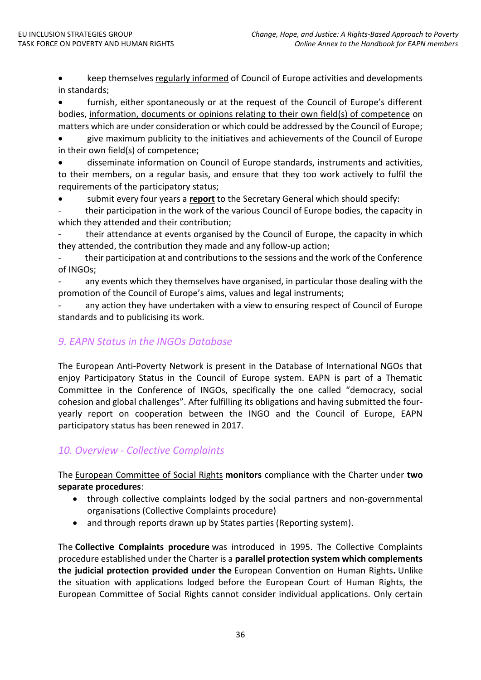• keep themselves regularly informed of Council of Europe activities and developments in standards;

furnish, either spontaneously or at the request of the Council of Europe's different bodies, information, documents or opinions relating to their own field(s) of competence on matters which are under consideration or which could be addressed by the Council of Europe;

• give maximum publicity to the initiatives and achievements of the Council of Europe in their own field(s) of competence;

• disseminate information on Council of Europe standards, instruments and activities, to their members, on a regular basis, and ensure that they too work actively to fulfil the requirements of the participatory status;

• submit every four years a **report** to the Secretary General which should specify:

their participation in the work of the various Council of Europe bodies, the capacity in which they attended and their contribution;

their attendance at events organised by the Council of Europe, the capacity in which they attended, the contribution they made and any follow-up action;

their participation at and contributions to the sessions and the work of the Conference of INGOs;

any events which they themselves have organised, in particular those dealing with the promotion of the Council of Europe's aims, values and legal instruments;

any action they have undertaken with a view to ensuring respect of Council of Europe standards and to publicising its work.

## <span id="page-35-0"></span>*9. EAPN Status in the INGOs Database*

The European Anti-Poverty Network is present in the Database of International NGOs that enjoy Participatory Status in the Council of Europe system. EAPN is part of a Thematic Committee in the Conference of INGOs, specifically the one called "democracy, social cohesion and global challenges". After fulfilling its obligations and having submitted the fouryearly report on cooperation between the INGO and the Council of Europe, EAPN participatory status has been renewed in 2017.

## <span id="page-35-1"></span>*10. Overview - Collective Complaints*

The [European Committee of Social Rights](http://www.coe.int/web/turin-european-social-charter/european-committee-of-social-rights) **monitors** compliance with the Charter under **two separate procedures**:

- through collective complaints lodged by the social partners and non-governmental organisations (Collective Complaints procedure)
- and through reports drawn up by States parties [\(Reporting system\)](http://www.coe.int/web/turin-european-social-charter/reporting-system).

The **Collective Complaints procedure** was introduced in 1995. The Collective Complaints procedure established under the Charter is a **parallel protection system which complements the judicial protection provided under the** [European Convention on Human Rights](http://www.coe.int/en/web/conventions/full-list/-/conventions/treaty/005)**.** Unlike the situation with applications lodged before the European Court of Human Rights, the European Committee of Social Rights cannot consider individual applications. Only certain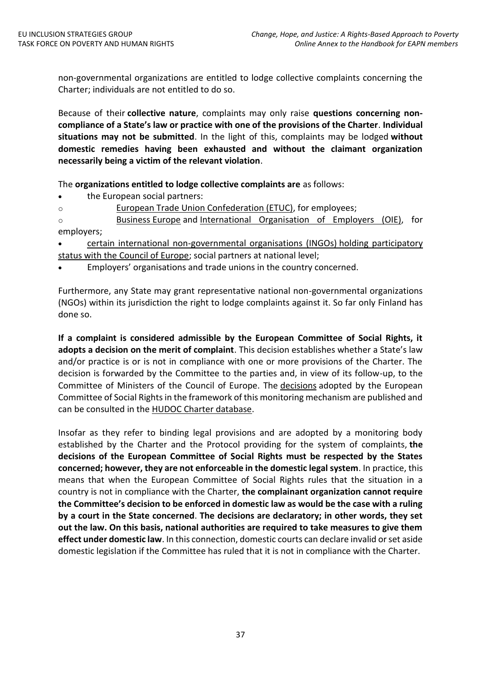non-governmental organizations are entitled to lodge collective complaints concerning the Charter; individuals are not entitled to do so.

Because of their **collective nature**, complaints may only raise **questions concerning noncompliance of a State's law or practice with one of the provisions of the Charter**. **Individual situations may not be submitted**. In the light of this, complaints may be lodged **without domestic remedies having been exhausted and without the claimant organization necessarily being a victim of the relevant violation**.

The **organizations entitled to lodge collective complaints are** as follows:

• the European social partners:

o [European Trade Union Confederation \(ETUC\),](http://www.etuc.org/) for employees;

o [Business](http://www.businesseurope.eu/) Europe and [International Organisation of Employers \(OIE\),](http://www.ioe-emp.org/) for employers;

- [certain international non-governmental organisations \(INGOs\)](http://www.coe.int/web/turin-european-social-charter/non-governmental-organisations-entitled-to-lodge-collective-complaints) holding participatory status with the Council of Europe; social partners at national level;
- Employers' organisations and trade unions in the country concerned.

Furthermore, any State may grant representative national non-governmental organizations (NGOs) within its jurisdiction the right to lodge complaints against it. So far only Finland has done so.

**If a complaint is considered admissible by the European Committee of Social Rights, it adopts a decision on the merit of complaint**. This decision establishes whether a State's law and/or practice is or is not in compliance with one or more provisions of the Charter. The decision is forwarded by the Committee to the parties and, in view of its follow-up, to the Committee of Ministers of the Council of Europe. The [decisions](http://www.coe.int/web/turin-european-social-charter/collective-complaints-procedure) adopted by the European Committee of Social Rights in the framework of this monitoring mechanism are published and can be consulted in the [HUDOC Charter database.](http://hudoc.esc.coe.int/eng#{%22ESCDcType%22:[%22DEC%22]})

Insofar as they refer to binding legal provisions and are adopted by a monitoring body established by the Charter and the Protocol providing for the system of complaints, **the decisions of the European Committee of Social Rights must be respected by the States concerned; however, they are not enforceable in the domestic legal system**. In practice, this means that when the European Committee of Social Rights rules that the situation in a country is not in compliance with the Charter, **the complainant organization cannot require the Committee's decision to be enforced in domestic law as would be the case with a ruling by a court in the State concerned**. **The decisions are declaratory; in other words, they set out the law. On this basis, national authorities are required to take measures to give them effect under domestic law**. In this connection, domestic courts can declare invalid or set aside domestic legislation if the Committee has ruled that it is not in compliance with the Charter.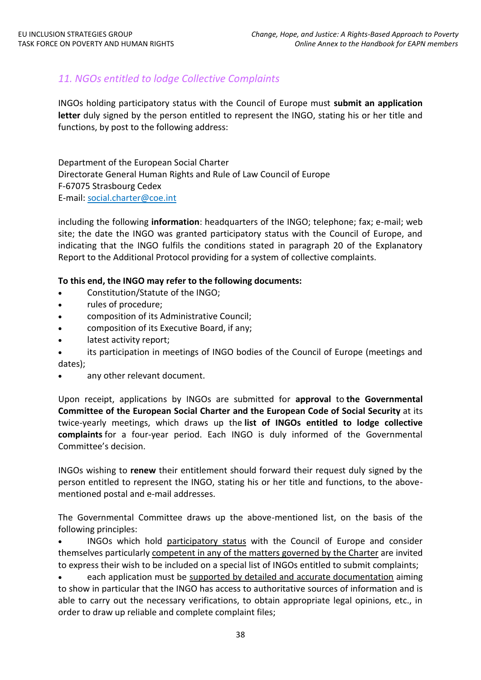## <span id="page-37-0"></span>*11. NGOs entitled to lodge Collective Complaints*

INGOs holding participatory status with the Council of Europe must **submit an application letter** duly signed by the person entitled to represent the INGO, stating his or her title and functions, by post to the following address:

Department of the European Social Charter Directorate General Human Rights and Rule of Law Council of Europe F-67075 Strasbourg Cedex E-mail: [social.charter@coe.int](mailto:social.charter@coe.int)

including the following **information**: headquarters of the INGO; telephone; fax; e-mail; web site; the date the INGO was granted participatory status with the Council of Europe, and indicating that the INGO fulfils the conditions stated in paragraph 20 of the Explanatory Report to the Additional Protocol providing for a system of collective complaints.

#### **To this end, the INGO may refer to the following documents:**

- Constitution/Statute of the INGO;
- rules of procedure;
- composition of its Administrative Council;
- composition of its Executive Board, if any;
- latest activity report;
- its participation in meetings of INGO bodies of the Council of Europe (meetings and dates);
- any other relevant document.

Upon receipt, applications by INGOs are submitted for **approval** to **the Governmental Committee of the European Social Charter and the European Code of Social Security** at its twice-yearly meetings, which draws up the **[list of INGOs entitled to lodge collective](http://rm.coe.int/CoERMPublicCommonSearchServices/DisplayDCTMContent?documentId=09000016806d4ba0)  [complaints](http://rm.coe.int/CoERMPublicCommonSearchServices/DisplayDCTMContent?documentId=09000016806d4ba0)** for a four-year period. Each INGO is duly informed of the Governmental Committee's decision.

INGOs wishing to **renew** their entitlement should forward their request duly signed by the person entitled to represent the INGO, stating his or her title and functions, to the abovementioned postal and e-mail addresses.

The Governmental Committee draws up the above-mentioned list, on the basis of the following principles:

• INGOs which hold participatory status with the Council of Europe and consider themselves particularly competent in any of the matters governed by the Charter are invited to express their wish to be included on a special list of INGOs entitled to submit complaints;

• each application must be supported by detailed and accurate documentation aiming to show in particular that the INGO has access to authoritative sources of information and is able to carry out the necessary verifications, to obtain appropriate legal opinions, etc., in order to draw up reliable and complete complaint files;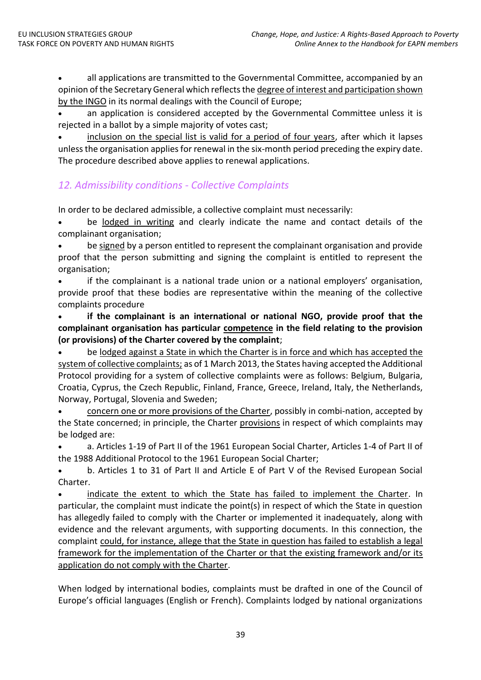• all applications are transmitted to the Governmental Committee, accompanied by an opinion of the Secretary General which reflects the degree of interest and participation shown by the INGO in its normal dealings with the Council of Europe;

• an application is considered accepted by the Governmental Committee unless it is rejected in a ballot by a simple majority of votes cast;

inclusion on the special list is valid for a period of four years, after which it lapses unless the organisation applies for renewal in the six-month period preceding the expiry date. The procedure described above applies to renewal applications.

## <span id="page-38-0"></span>*12. Admissibility conditions - Collective Complaints*

In order to be declared admissible, a collective complaint must necessarily:

• be lodged in writing and clearly indicate the name and contact details of the complainant organisation;

be signed by a person entitled to represent the complainant organisation and provide proof that the person submitting and signing the complaint is entitled to represent the organisation;

• if the complainant is a national trade union or a national employers' organisation, provide proof that these bodies are representative within the meaning of the collective complaints procedure

• **if the complainant is an international or national NGO, provide proof that the complainant organisation has particular competence in the field relating to the provision (or provisions) of the Charter covered by the complaint**;

be lodged against a State in which the Charter is in force and which has accepted the system of collective complaints; as of 1 March 2013, the States having accepted the Additional Protocol providing for a system of collective complaints were as follows: Belgium, Bulgaria, Croatia, Cyprus, the Czech Republic, Finland, France, Greece, Ireland, Italy, the Netherlands, Norway, Portugal, Slovenia and Sweden;

• concern one or more provisions of the Charter, possibly in combi-nation, accepted by the State concerned; in principle, the Charter provisions in respect of which complaints may be lodged are:

• a. Articles 1-19 of Part II of the 1961 European Social Charter, Articles 1-4 of Part II of the 1988 Additional Protocol to the 1961 European Social Charter;

• b. Articles 1 to 31 of Part II and Article E of Part V of the Revised European Social Charter.

indicate the extent to which the State has failed to implement the Charter. In particular, the complaint must indicate the point(s) in respect of which the State in question has allegedly failed to comply with the Charter or implemented it inadequately, along with evidence and the relevant arguments, with supporting documents. In this connection, the complaint could, for instance, allege that the State in question has failed to establish a legal framework for the implementation of the Charter or that the existing framework and/or its application do not comply with the Charter.

When lodged by international bodies, complaints must be drafted in one of the Council of Europe's official languages (English or French). Complaints lodged by national organizations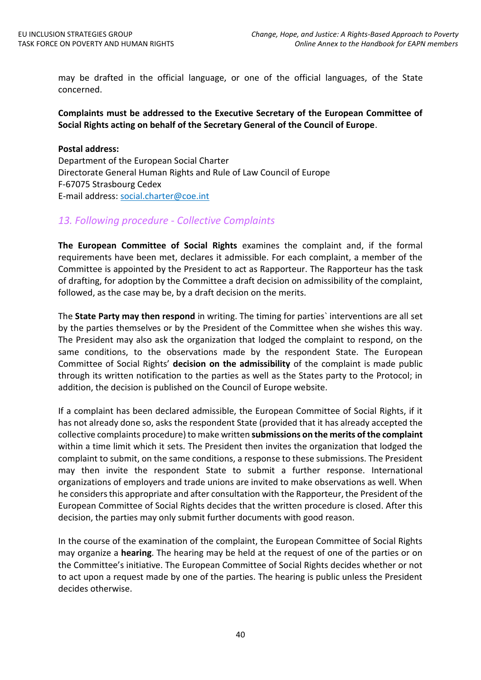may be drafted in the official language, or one of the official languages, of the State concerned.

**Complaints must be addressed to the Executive Secretary of the European Committee of Social Rights acting on behalf of the Secretary General of the Council of Europe**.

#### **Postal address:**

Department of the European Social Charter Directorate General Human Rights and Rule of Law Council of Europe F-67075 Strasbourg Cedex E-mail address: [social.charter@coe.int](mailto:social.charter@coe.int) 

#### <span id="page-39-0"></span>*13. Following procedure - Collective Complaints*

**The European Committee of Social Rights** examines the complaint and, if the formal requirements have been met, declares it admissible. For each complaint, a member of the Committee is appointed by the President to act as Rapporteur. The Rapporteur has the task of drafting, for adoption by the Committee a draft decision on admissibility of the complaint, followed, as the case may be, by a draft decision on the merits.

The **State Party may then respond** in writing. The timing for parties` interventions are all set by the parties themselves or by the President of the Committee when she wishes this way. The President may also ask the organization that lodged the complaint to respond, on the same conditions, to the observations made by the respondent State. The European Committee of Social Rights' **decision on the admissibility** of the complaint is made public through its written notification to the parties as well as the States party to the Protocol; in addition, the decision is published on the Council of Europe website.

If a complaint has been declared admissible, the European Committee of Social Rights, if it has not already done so, asks the respondent State (provided that it has already accepted the collective complaints procedure) to make written **submissions on the merits of the complaint** within a time limit which it sets. The President then invites the organization that lodged the complaint to submit, on the same conditions, a response to these submissions. The President may then invite the respondent State to submit a further response. International organizations of employers and trade unions are invited to make observations as well. When he considers this appropriate and after consultation with the Rapporteur, the President of the European Committee of Social Rights decides that the written procedure is closed. After this decision, the parties may only submit further documents with good reason.

In the course of the examination of the complaint, the European Committee of Social Rights may organize a **hearing**. The hearing may be held at the request of one of the parties or on the Committee's initiative. The European Committee of Social Rights decides whether or not to act upon a request made by one of the parties. The hearing is public unless the President decides otherwise.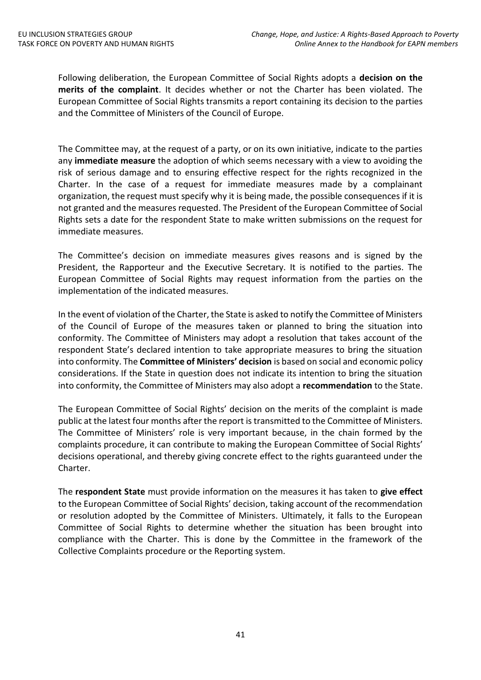Following deliberation, the European Committee of Social Rights adopts a **decision on the merits of the complaint**. It decides whether or not the Charter has been violated. The European Committee of Social Rights transmits a report containing its decision to the parties and the Committee of Ministers of the Council of Europe.

The Committee may, at the request of a party, or on its own initiative, indicate to the parties any **immediate measure** the adoption of which seems necessary with a view to avoiding the risk of serious damage and to ensuring effective respect for the rights recognized in the Charter. In the case of a request for immediate measures made by a complainant organization, the request must specify why it is being made, the possible consequences if it is not granted and the measures requested. The President of the European Committee of Social Rights sets a date for the respondent State to make written submissions on the request for immediate measures.

The Committee's decision on immediate measures gives reasons and is signed by the President, the Rapporteur and the Executive Secretary. It is notified to the parties. The European Committee of Social Rights may request information from the parties on the implementation of the indicated measures.

In the event of violation of the Charter, the State is asked to notify the Committee of Ministers of the Council of Europe of the measures taken or planned to bring the situation into conformity. The Committee of Ministers may adopt a resolution that takes account of the respondent State's declared intention to take appropriate measures to bring the situation into conformity. The **Committee of Ministers' decision** is based on social and economic policy considerations. If the State in question does not indicate its intention to bring the situation into conformity, the Committee of Ministers may also adopt a **recommendation** to the State.

The European Committee of Social Rights' decision on the merits of the complaint is made public at the latest four months after the report is transmitted to the Committee of Ministers. The Committee of Ministers' role is very important because, in the chain formed by the complaints procedure, it can contribute to making the European Committee of Social Rights' decisions operational, and thereby giving concrete effect to the rights guaranteed under the Charter.

The **respondent State** must provide information on the measures it has taken to **give effect** to the European Committee of Social Rights' decision, taking account of the recommendation or resolution adopted by the Committee of Ministers. Ultimately, it falls to the European Committee of Social Rights to determine whether the situation has been brought into compliance with the Charter. This is done by the Committee in the framework of the Collective Complaints procedure or the Reporting system.